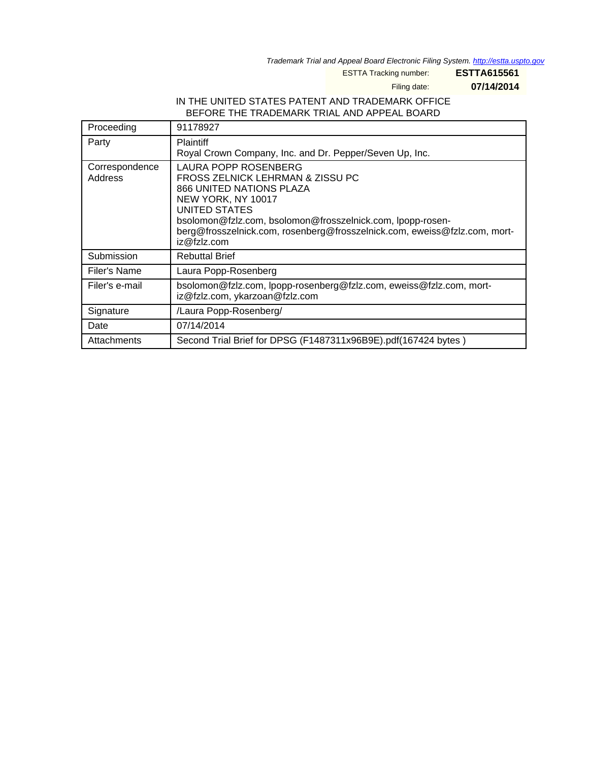Trademark Trial and Appeal Board Electronic Filing System. <http://estta.uspto.gov>

ESTTA Tracking number: **ESTTA615561**

Filing date: **07/14/2014**

## IN THE UNITED STATES PATENT AND TRADEMARK OFFICE BEFORE THE TRADEMARK TRIAL AND APPEAL BOARD

| Proceeding                | 91178927                                                                                                                                                                                                                                                                              |
|---------------------------|---------------------------------------------------------------------------------------------------------------------------------------------------------------------------------------------------------------------------------------------------------------------------------------|
| Party                     | <b>Plaintiff</b><br>Royal Crown Company, Inc. and Dr. Pepper/Seven Up, Inc.                                                                                                                                                                                                           |
| Correspondence<br>Address | LAURA POPP ROSENBERG<br>FROSS ZELNICK LEHRMAN & ZISSU PC<br>866 UNITED NATIONS PLAZA<br>NEW YORK, NY 10017<br>UNITED STATES<br>bsolomon@fzlz.com, bsolomon@frosszelnick.com, lpopp-rosen-<br>berg@frosszelnick.com, rosenberg@frosszelnick.com, eweiss@fzlz.com, mort-<br>iz@fzlz.com |
| Submission                | <b>Rebuttal Brief</b>                                                                                                                                                                                                                                                                 |
| Filer's Name              | Laura Popp-Rosenberg                                                                                                                                                                                                                                                                  |
| Filer's e-mail            | bsolomon@fzlz.com, lpopp-rosenberg@fzlz.com, eweiss@fzlz.com, mort-<br>iz@fzlz.com, ykarzoan@fzlz.com                                                                                                                                                                                 |
| Signature                 | /Laura Popp-Rosenberg/                                                                                                                                                                                                                                                                |
| Date                      | 07/14/2014                                                                                                                                                                                                                                                                            |
| Attachments               | Second Trial Brief for DPSG (F1487311x96B9E).pdf(167424 bytes)                                                                                                                                                                                                                        |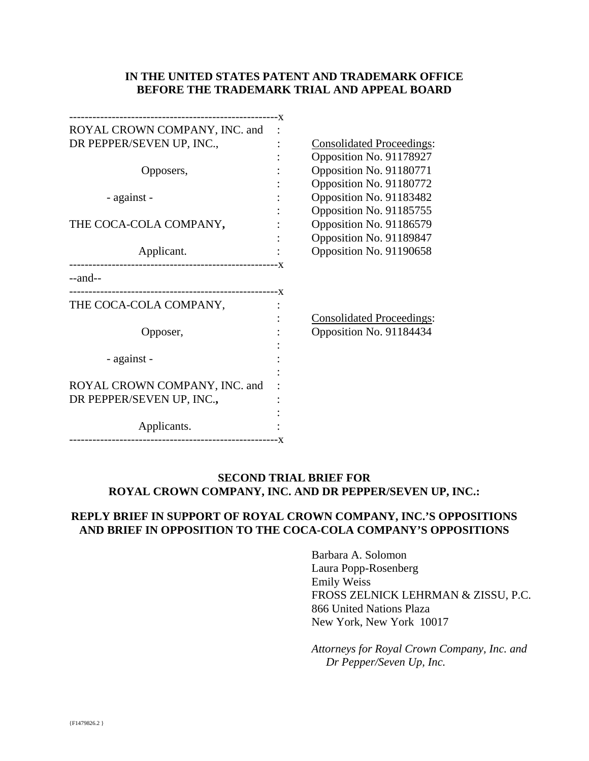## **IN THE UNITED STATES PATENT AND TRADEMARK OFFICE BEFORE THE TRADEMARK TRIAL AND APPEAL BOARD**

| ROYAL CROWN COMPANY, INC. and |                                  |
|-------------------------------|----------------------------------|
| DR PEPPER/SEVEN UP, INC.,     | <b>Consolidated Proceedings:</b> |
|                               | Opposition No. 91178927          |
| Opposers,                     | Opposition No. 91180771          |
|                               | Opposition No. 91180772          |
| - against -                   | Opposition No. 91183482          |
|                               | Opposition No. 91185755          |
| THE COCA-COLA COMPANY,        | Opposition No. 91186579          |
|                               | Opposition No. 91189847          |
| Applicant.                    | Opposition No. 91190658          |
|                               |                                  |
| $-$ and $-$                   |                                  |
|                               |                                  |
| THE COCA-COLA COMPANY,        |                                  |
|                               | <b>Consolidated Proceedings:</b> |
| Opposer,                      | Opposition No. 91184434          |
|                               |                                  |
| - against -                   |                                  |
|                               |                                  |
| ROYAL CROWN COMPANY, INC. and |                                  |
| DR PEPPER/SEVEN UP, INC.,     |                                  |
|                               |                                  |
| Applicants.                   |                                  |
|                               |                                  |

## **SECOND TRIAL BRIEF FOR ROYAL CROWN COMPANY, INC. AND DR PEPPER/SEVEN UP, INC.:**

## **REPLY BRIEF IN SUPPORT OF ROYAL CROWN COMPANY, INC.'S OPPOSITIONS AND BRIEF IN OPPOSITION TO THE COCA-COLA COMPANY'S OPPOSITIONS**

Barbara A. Solomon Laura Popp-Rosenberg Emily Weiss FROSS ZELNICK LEHRMAN & ZISSU, P.C. 866 United Nations Plaza New York, New York 10017

*Attorneys for Royal Crown Company, Inc. and Dr Pepper/Seven Up, Inc.*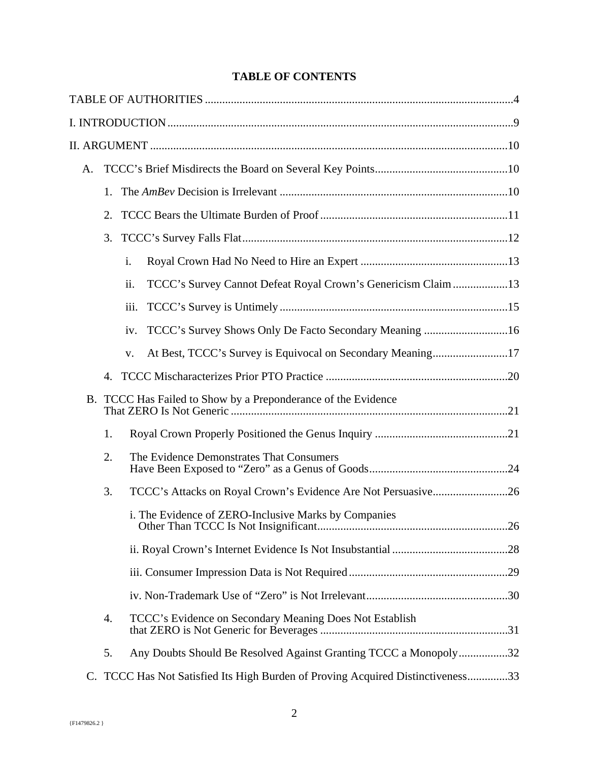# **TABLE OF CONTENTS**

| A. |    |                                                                              |
|----|----|------------------------------------------------------------------------------|
|    | 1. |                                                                              |
|    | 2. |                                                                              |
|    | 3. |                                                                              |
|    |    | $\mathbf{i}$ .                                                               |
|    |    | ii.<br>TCCC's Survey Cannot Defeat Royal Crown's Genericism Claim 13         |
|    |    | iii.                                                                         |
|    |    | iv.                                                                          |
|    |    | V.                                                                           |
|    | 4. |                                                                              |
|    |    | B. TCCC Has Failed to Show by a Preponderance of the Evidence                |
|    | 1. |                                                                              |
|    | 2. | The Evidence Demonstrates That Consumers                                     |
|    | 3. |                                                                              |
|    |    | i. The Evidence of ZERO-Inclusive Marks by Companies                         |
|    |    |                                                                              |
|    |    |                                                                              |
|    |    |                                                                              |
|    | 4. | TCCC's Evidence on Secondary Meaning Does Not Establish                      |
|    | 5. | Any Doubts Should Be Resolved Against Granting TCCC a Monopoly32             |
| C. |    | TCCC Has Not Satisfied Its High Burden of Proving Acquired Distinctiveness33 |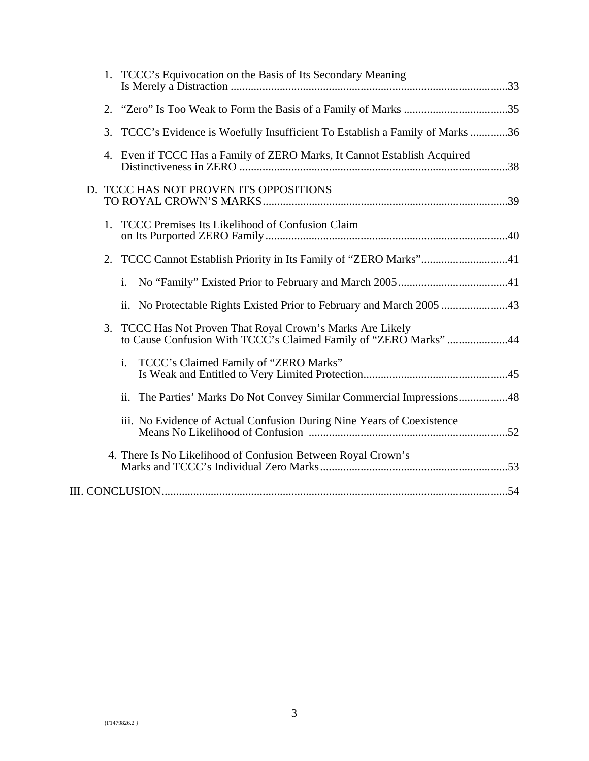| 1. TCCC's Equivocation on the Basis of Its Secondary Meaning                                                                      |  |
|-----------------------------------------------------------------------------------------------------------------------------------|--|
| 2.                                                                                                                                |  |
| TCCC's Evidence is Woefully Insufficient To Establish a Family of Marks36<br>3.                                                   |  |
| 4. Even if TCCC Has a Family of ZERO Marks, It Cannot Establish Acquired                                                          |  |
| D. TCCC HAS NOT PROVEN ITS OPPOSITIONS                                                                                            |  |
| <b>TCCC Premises Its Likelihood of Confusion Claim</b><br>1.                                                                      |  |
| 2.                                                                                                                                |  |
| $\mathbf{i}$ .                                                                                                                    |  |
|                                                                                                                                   |  |
| TCCC Has Not Proven That Royal Crown's Marks Are Likely<br>3.<br>to Cause Confusion With TCCC's Claimed Family of "ZERO Marks" 44 |  |
| TCCC's Claimed Family of "ZERO Marks"<br>i.                                                                                       |  |
| ii. The Parties' Marks Do Not Convey Similar Commercial Impressions48                                                             |  |
| iii. No Evidence of Actual Confusion During Nine Years of Coexistence                                                             |  |
| 4. There Is No Likelihood of Confusion Between Royal Crown's                                                                      |  |
|                                                                                                                                   |  |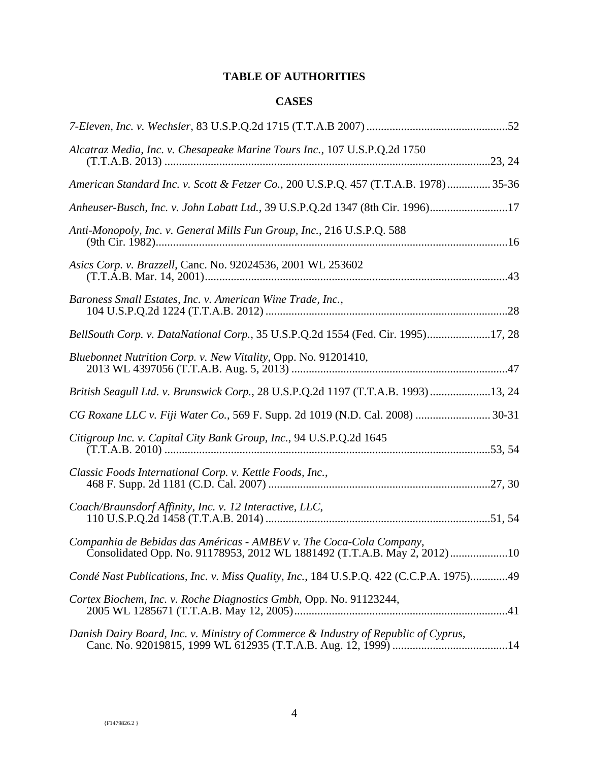# **TABLE OF AUTHORITIES**

# **CASES**

| Alcatraz Media, Inc. v. Chesapeake Marine Tours Inc., 107 U.S.P.Q.2d 1750                                                                       |
|-------------------------------------------------------------------------------------------------------------------------------------------------|
| American Standard Inc. v. Scott & Fetzer Co., 200 U.S.P.Q. 457 (T.T.A.B. 1978) 35-36                                                            |
| Anheuser-Busch, Inc. v. John Labatt Ltd., 39 U.S.P.Q.2d 1347 (8th Cir. 1996)17                                                                  |
| Anti-Monopoly, Inc. v. General Mills Fun Group, Inc., 216 U.S.P.Q. 588                                                                          |
| Asics Corp. v. Brazzell, Canc. No. 92024536, 2001 WL 253602                                                                                     |
| Baroness Small Estates, Inc. v. American Wine Trade, Inc.,                                                                                      |
| BellSouth Corp. v. DataNational Corp., 35 U.S.P.Q.2d 1554 (Fed. Cir. 1995)17, 28                                                                |
| Bluebonnet Nutrition Corp. v. New Vitality, Opp. No. 91201410,                                                                                  |
| British Seagull Ltd. v. Brunswick Corp., 28 U.S.P.Q.2d 1197 (T.T.A.B. 1993)13, 24                                                               |
| CG Roxane LLC v. Fiji Water Co., 569 F. Supp. 2d 1019 (N.D. Cal. 2008)  30-31                                                                   |
| Citigroup Inc. v. Capital City Bank Group, Inc., 94 U.S.P.Q.2d 1645                                                                             |
| Classic Foods International Corp. v. Kettle Foods, Inc.,                                                                                        |
| Coach/Braunsdorf Affinity, Inc. v. 12 Interactive, LLC,                                                                                         |
| Companhia de Bebidas das Américas - AMBEV v. The Coca-Cola Company,<br>Consolidated Opp. No. 91178953, 2012 WL 1881492 (T.T.A.B. May 2, 2012)10 |
| Condé Nast Publications, Inc. v. Miss Quality, Inc., 184 U.S.P.Q. 422 (C.C.P.A. 1975)49                                                         |
| Cortex Biochem, Inc. v. Roche Diagnostics Gmbh, Opp. No. 91123244,                                                                              |
| Danish Dairy Board, Inc. v. Ministry of Commerce & Industry of Republic of Cyprus,                                                              |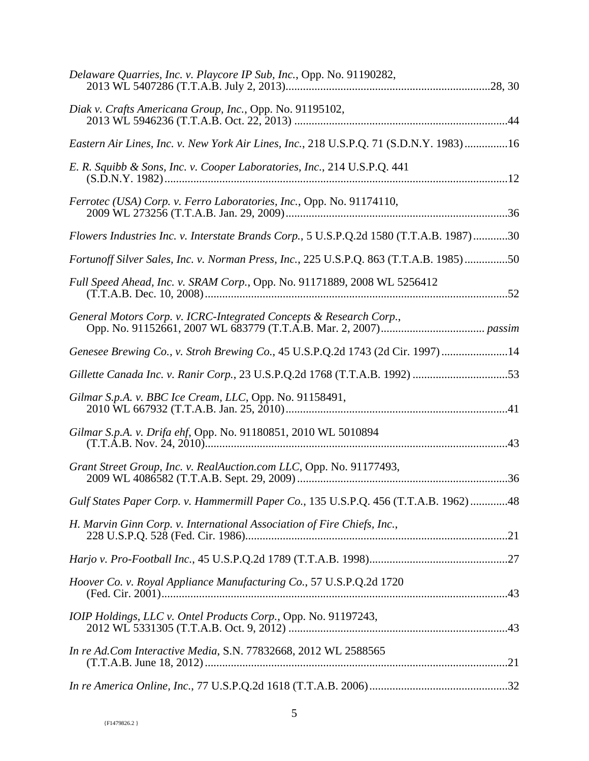| Delaware Quarries, Inc. v. Playcore IP Sub, Inc., Opp. No. 91190282,                    |
|-----------------------------------------------------------------------------------------|
| Diak v. Crafts Americana Group, Inc., Opp. No. 91195102,                                |
| Eastern Air Lines, Inc. v. New York Air Lines, Inc., 218 U.S.P.Q. 71 (S.D.N.Y. 1983)16  |
| E. R. Squibb & Sons, Inc. v. Cooper Laboratories, Inc., 214 U.S.P.Q. 441                |
| Ferrotec (USA) Corp. v. Ferro Laboratories, Inc., Opp. No. 91174110,                    |
| Flowers Industries Inc. v. Interstate Brands Corp., 5 U.S.P.Q.2d 1580 (T.T.A.B. 1987)30 |
| Fortunoff Silver Sales, Inc. v. Norman Press, Inc., 225 U.S.P.Q. 863 (T.T.A.B. 1985)50  |
| Full Speed Ahead, Inc. v. SRAM Corp., Opp. No. 91171889, 2008 WL 5256412                |
|                                                                                         |
| Genesee Brewing Co., v. Stroh Brewing Co., 45 U.S.P.Q.2d 1743 (2d Cir. 1997)14          |
| Gillette Canada Inc. v. Ranir Corp., 23 U.S.P.Q.2d 1768 (T.T.A.B. 1992) 53              |
| Gilmar S.p.A. v. BBC Ice Cream, LLC, Opp. No. 91158491,                                 |
| Gilmar S.p.A. v. Drifa ehf, Opp. No. 91180851, 2010 WL 5010894                          |
| Grant Street Group, Inc. v. RealAuction.com LLC, Opp. No. 91177493,                     |
| Gulf States Paper Corp. v. Hammermill Paper Co., 135 U.S.P.Q. 456 (T.T.A.B. 1962) 48    |
| H. Marvin Ginn Corp. v. International Association of Fire Chiefs, Inc.,                 |
|                                                                                         |
| Hoover Co. v. Royal Appliance Manufacturing Co., 57 U.S.P.Q.2d 1720                     |
| IOIP Holdings, LLC v. Ontel Products Corp., Opp. No. 91197243,                          |
| In re Ad.Com Interactive Media, S.N. 77832668, 2012 WL 2588565                          |
|                                                                                         |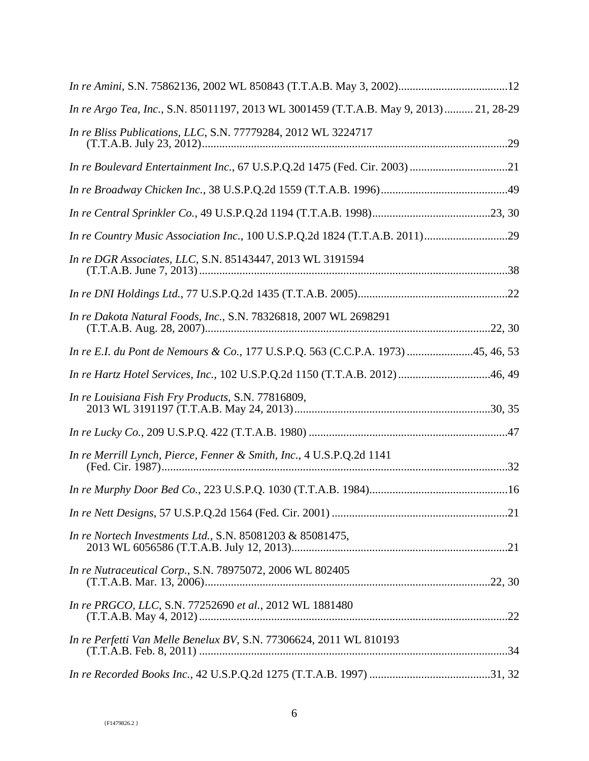| In re Argo Tea, Inc., S.N. 85011197, 2013 WL 3001459 (T.T.A.B. May 9, 2013) 21, 28-29 |  |
|---------------------------------------------------------------------------------------|--|
| In re Bliss Publications, LLC, S.N. 77779284, 2012 WL 3224717                         |  |
|                                                                                       |  |
|                                                                                       |  |
|                                                                                       |  |
|                                                                                       |  |
| In re DGR Associates, LLC, S.N. 85143447, 2013 WL 3191594                             |  |
|                                                                                       |  |
| In re Dakota Natural Foods, Inc., S.N. 78326818, 2007 WL 2698291                      |  |
| In re E.I. du Pont de Nemours & Co., 177 U.S.P.Q. 563 (C.C.P.A. 1973) 45, 46, 53      |  |
| In re Hartz Hotel Services, Inc., 102 U.S.P.Q.2d 1150 (T.T.A.B. 2012)46, 49           |  |
| In re Louisiana Fish Fry Products, S.N. 77816809,                                     |  |
|                                                                                       |  |
| In re Merrill Lynch, Pierce, Fenner & Smith, Inc., 4 U.S.P.Q.2d 1141                  |  |
|                                                                                       |  |
|                                                                                       |  |
| In re Nortech Investments Ltd., S.N. 85081203 & 85081475,                             |  |
| In re Nutraceutical Corp., S.N. 78975072, 2006 WL 802405                              |  |
| In re PRGCO, LLC, S.N. 77252690 et al., 2012 WL 1881480                               |  |
| In re Perfetti Van Melle Benelux BV, S.N. 77306624, 2011 WL 810193                    |  |
|                                                                                       |  |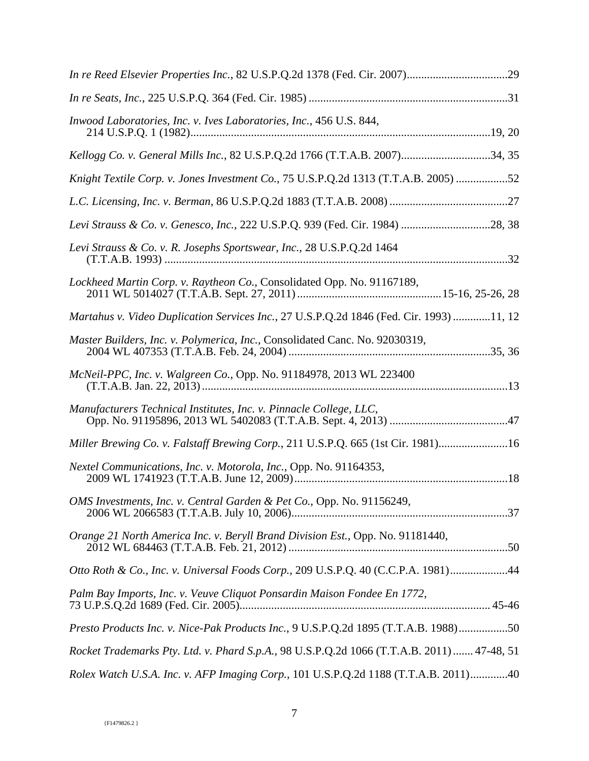| <i>Inwood Laboratories, Inc. v. Ives Laboratories, Inc., 456 U.S. 844,</i>                 |
|--------------------------------------------------------------------------------------------|
| Kellogg Co. v. General Mills Inc., 82 U.S.P.Q.2d 1766 (T.T.A.B. 2007)34, 35                |
| Knight Textile Corp. v. Jones Investment Co., 75 U.S.P.Q.2d 1313 (T.T.A.B. 2005) 52        |
|                                                                                            |
| Levi Strauss & Co. v. Genesco, Inc., 222 U.S.P.Q. 939 (Fed. Cir. 1984) 28, 38              |
| Levi Strauss & Co. v. R. Josephs Sportswear, Inc., 28 U.S.P.Q.2d 1464                      |
| Lockheed Martin Corp. v. Raytheon Co., Consolidated Opp. No. 91167189,                     |
| Martahus v. Video Duplication Services Inc., 27 U.S.P.Q.2d 1846 (Fed. Cir. 1993) 11, 12    |
| Master Builders, Inc. v. Polymerica, Inc., Consolidated Canc. No. 92030319,                |
| McNeil-PPC, Inc. v. Walgreen Co., Opp. No. 91184978, 2013 WL 223400                        |
| Manufacturers Technical Institutes, Inc. v. Pinnacle College, LLC,                         |
| Miller Brewing Co. v. Falstaff Brewing Corp., 211 U.S.P.Q. 665 (1st Cir. 1981)16           |
| Nextel Communications, Inc. v. Motorola, Inc., Opp. No. 91164353,                          |
| OMS Investments, Inc. v. Central Garden & Pet Co., Opp. No. 91156249,                      |
| Orange 21 North America Inc. v. Beryll Brand Division Est., Opp. No. 91181440,             |
| Otto Roth & Co., Inc. v. Universal Foods Corp., 209 U.S.P.Q. 40 (C.C.P.A. 1981)44          |
| Palm Bay Imports, Inc. v. Veuve Cliquot Ponsardin Maison Fondee En 1772,                   |
| Presto Products Inc. v. Nice-Pak Products Inc., 9 U.S.P.Q.2d 1895 (T.T.A.B. 1988)50        |
| Rocket Trademarks Pty. Ltd. v. Phard S.p.A., 98 U.S.P.Q.2d 1066 (T.T.A.B. 2011)  47-48, 51 |
| Rolex Watch U.S.A. Inc. v. AFP Imaging Corp., 101 U.S.P.Q.2d 1188 (T.T.A.B. 2011)40        |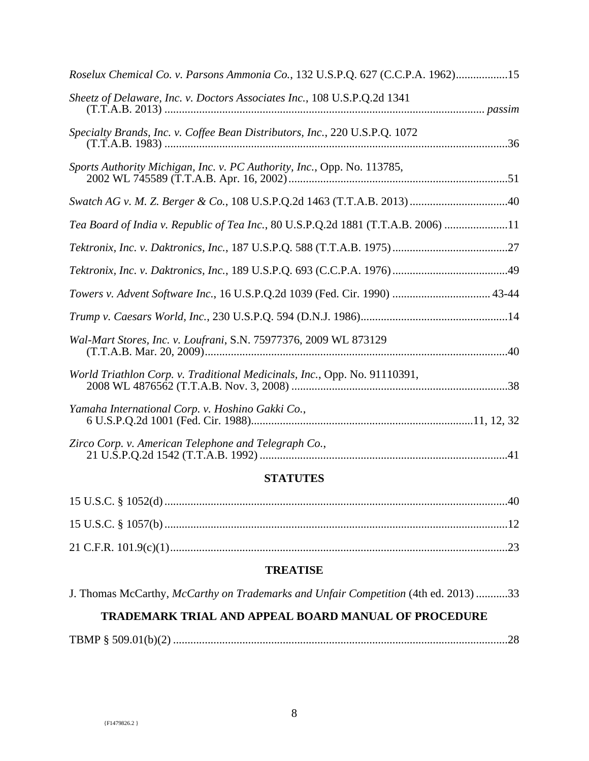| Roselux Chemical Co. v. Parsons Ammonia Co., 132 U.S.P.Q. 627 (C.C.P.A. 1962)15   |
|-----------------------------------------------------------------------------------|
| Sheetz of Delaware, Inc. v. Doctors Associates Inc., 108 U.S.P.Q.2d 1341          |
| Specialty Brands, Inc. v. Coffee Bean Distributors, Inc., 220 U.S.P.Q. 1072       |
| Sports Authority Michigan, Inc. v. PC Authority, Inc., Opp. No. 113785,           |
|                                                                                   |
| Tea Board of India v. Republic of Tea Inc., 80 U.S.P.Q.2d 1881 (T.T.A.B. 2006) 11 |
|                                                                                   |
|                                                                                   |
| Towers v. Advent Software Inc., 16 U.S.P.Q.2d 1039 (Fed. Cir. 1990)  43-44        |
|                                                                                   |
| Wal-Mart Stores, Inc. v. Loufrani, S.N. 75977376, 2009 WL 873129                  |
| World Triathlon Corp. v. Traditional Medicinals, Inc., Opp. No. 91110391,         |
| Yamaha International Corp. v. Hoshino Gakki Co.,                                  |
| Zirco Corp. v. American Telephone and Telegraph Co.,                              |

## **STATUTES**

# **TREATISE**

J. Thomas McCarthy, *McCarthy on Trademarks and Unfair Competition* (4th ed. 2013) ...........33

## **TRADEMARK TRIAL AND APPEAL BOARD MANUAL OF PROCEDURE**

TBMP § 509.01(b)(2) ....................................................................................................................28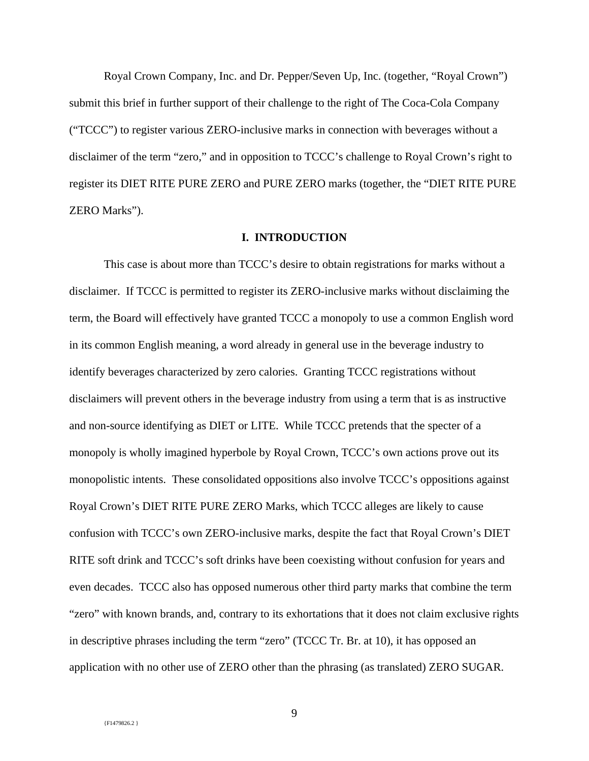Royal Crown Company, Inc. and Dr. Pepper/Seven Up, Inc. (together, "Royal Crown") submit this brief in further support of their challenge to the right of The Coca-Cola Company ("TCCC") to register various ZERO-inclusive marks in connection with beverages without a disclaimer of the term "zero," and in opposition to TCCC's challenge to Royal Crown's right to register its DIET RITE PURE ZERO and PURE ZERO marks (together, the "DIET RITE PURE ZERO Marks").

### **I. INTRODUCTION**

This case is about more than TCCC's desire to obtain registrations for marks without a disclaimer. If TCCC is permitted to register its ZERO-inclusive marks without disclaiming the term, the Board will effectively have granted TCCC a monopoly to use a common English word in its common English meaning, a word already in general use in the beverage industry to identify beverages characterized by zero calories. Granting TCCC registrations without disclaimers will prevent others in the beverage industry from using a term that is as instructive and non-source identifying as DIET or LITE. While TCCC pretends that the specter of a monopoly is wholly imagined hyperbole by Royal Crown, TCCC's own actions prove out its monopolistic intents. These consolidated oppositions also involve TCCC's oppositions against Royal Crown's DIET RITE PURE ZERO Marks, which TCCC alleges are likely to cause confusion with TCCC's own ZERO-inclusive marks, despite the fact that Royal Crown's DIET RITE soft drink and TCCC's soft drinks have been coexisting without confusion for years and even decades. TCCC also has opposed numerous other third party marks that combine the term "zero" with known brands, and, contrary to its exhortations that it does not claim exclusive rights in descriptive phrases including the term "zero" (TCCC Tr. Br. at 10), it has opposed an application with no other use of ZERO other than the phrasing (as translated) ZERO SUGAR.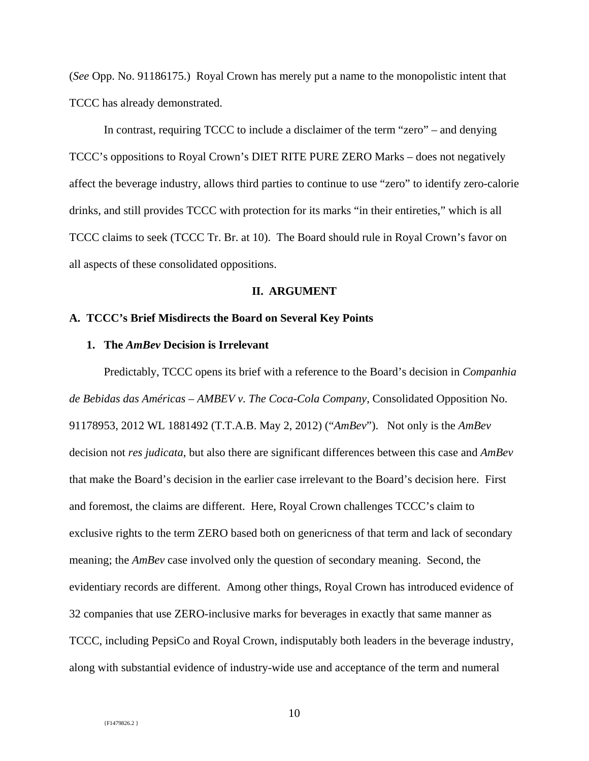(*See* Opp. No. 91186175.) Royal Crown has merely put a name to the monopolistic intent that TCCC has already demonstrated.

In contrast, requiring TCCC to include a disclaimer of the term "zero" – and denying TCCC's oppositions to Royal Crown's DIET RITE PURE ZERO Marks – does not negatively affect the beverage industry, allows third parties to continue to use "zero" to identify zero-calorie drinks, and still provides TCCC with protection for its marks "in their entireties," which is all TCCC claims to seek (TCCC Tr. Br. at 10). The Board should rule in Royal Crown's favor on all aspects of these consolidated oppositions.

### **II. ARGUMENT**

### **A. TCCC's Brief Misdirects the Board on Several Key Points**

### **1. The** *AmBev* **Decision is Irrelevant**

Predictably, TCCC opens its brief with a reference to the Board's decision in *Companhia de Bebidas das Américas – AMBEV v. The Coca-Cola Company*, Consolidated Opposition No. 91178953, 2012 WL 1881492 (T.T.A.B. May 2, 2012) ("*AmBev*"). Not only is the *AmBev*  decision not *res judicata*, but also there are significant differences between this case and *AmBev*  that make the Board's decision in the earlier case irrelevant to the Board's decision here. First and foremost, the claims are different. Here, Royal Crown challenges TCCC's claim to exclusive rights to the term ZERO based both on genericness of that term and lack of secondary meaning; the *AmBev* case involved only the question of secondary meaning. Second, the evidentiary records are different. Among other things, Royal Crown has introduced evidence of 32 companies that use ZERO-inclusive marks for beverages in exactly that same manner as TCCC, including PepsiCo and Royal Crown, indisputably both leaders in the beverage industry, along with substantial evidence of industry-wide use and acceptance of the term and numeral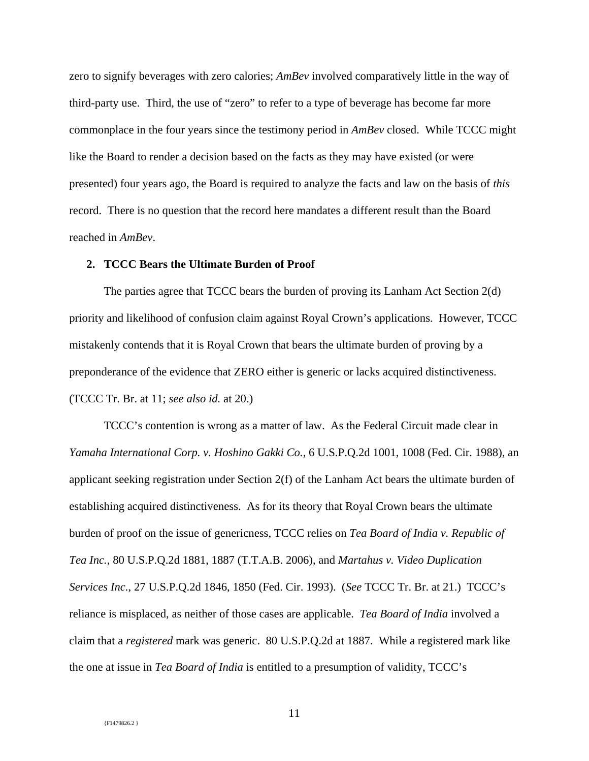zero to signify beverages with zero calories; *AmBev* involved comparatively little in the way of third-party use. Third, the use of "zero" to refer to a type of beverage has become far more commonplace in the four years since the testimony period in *AmBev* closed. While TCCC might like the Board to render a decision based on the facts as they may have existed (or were presented) four years ago, the Board is required to analyze the facts and law on the basis of *this*  record. There is no question that the record here mandates a different result than the Board reached in *AmBev*.

### **2. TCCC Bears the Ultimate Burden of Proof**

The parties agree that TCCC bears the burden of proving its Lanham Act Section 2(d) priority and likelihood of confusion claim against Royal Crown's applications. However, TCCC mistakenly contends that it is Royal Crown that bears the ultimate burden of proving by a preponderance of the evidence that ZERO either is generic or lacks acquired distinctiveness. (TCCC Tr. Br. at 11; *see also id.* at 20.)

TCCC's contention is wrong as a matter of law. As the Federal Circuit made clear in *Yamaha International Corp. v. Hoshino Gakki Co.*, 6 U.S.P.Q.2d 1001, 1008 (Fed. Cir. 1988), an applicant seeking registration under Section 2(f) of the Lanham Act bears the ultimate burden of establishing acquired distinctiveness. As for its theory that Royal Crown bears the ultimate burden of proof on the issue of genericness, TCCC relies on *Tea Board of India v. Republic of Tea Inc.*, 80 U.S.P.Q.2d 1881, 1887 (T.T.A.B. 2006), and *Martahus v. Video Duplication Services Inc.*, 27 U.S.P.Q.2d 1846, 1850 (Fed. Cir. 1993). (*See* TCCC Tr. Br. at 21.) TCCC's reliance is misplaced, as neither of those cases are applicable. *Tea Board of India* involved a claim that a *registered* mark was generic. 80 U.S.P.Q.2d at 1887. While a registered mark like the one at issue in *Tea Board of India* is entitled to a presumption of validity, TCCC's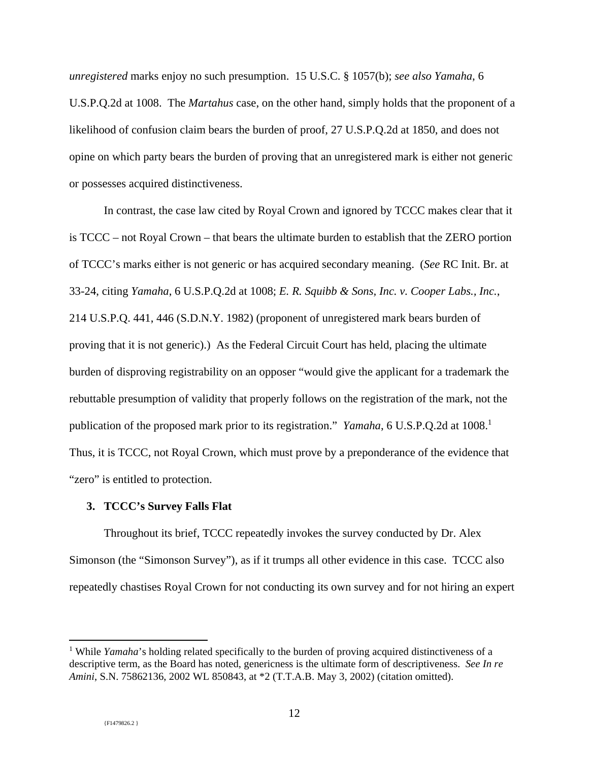*unregistered* marks enjoy no such presumption. 15 U.S.C. § 1057(b); *see also Yamaha*, 6 U.S.P.Q.2d at 1008. The *Martahus* case, on the other hand, simply holds that the proponent of a likelihood of confusion claim bears the burden of proof, 27 U.S.P.Q.2d at 1850, and does not opine on which party bears the burden of proving that an unregistered mark is either not generic or possesses acquired distinctiveness.

In contrast, the case law cited by Royal Crown and ignored by TCCC makes clear that it is TCCC – not Royal Crown – that bears the ultimate burden to establish that the ZERO portion of TCCC's marks either is not generic or has acquired secondary meaning. (*See* RC Init. Br. at 33-24, citing *Yamaha*, 6 U.S.P.Q.2d at 1008; *E. R. Squibb & Sons, Inc. v. Cooper Labs., Inc.*, 214 U.S.P.Q. 441, 446 (S.D.N.Y. 1982) (proponent of unregistered mark bears burden of proving that it is not generic).) As the Federal Circuit Court has held, placing the ultimate burden of disproving registrability on an opposer "would give the applicant for a trademark the rebuttable presumption of validity that properly follows on the registration of the mark, not the publication of the proposed mark prior to its registration." *Yamaha*, 6 U.S.P.Q.2d at 1008.<sup>1</sup> Thus, it is TCCC, not Royal Crown, which must prove by a preponderance of the evidence that "zero" is entitled to protection.

### **3. TCCC's Survey Falls Flat**

Throughout its brief, TCCC repeatedly invokes the survey conducted by Dr. Alex Simonson (the "Simonson Survey"), as if it trumps all other evidence in this case. TCCC also repeatedly chastises Royal Crown for not conducting its own survey and for not hiring an expert

<sup>&</sup>lt;sup>1</sup> While *Yamaha*'s holding related specifically to the burden of proving acquired distinctiveness of a descriptive term, as the Board has noted, genericness is the ultimate form of descriptiveness. *See In re Amini*, S.N. 75862136, 2002 WL 850843, at \*2 (T.T.A.B. May 3, 2002) (citation omitted).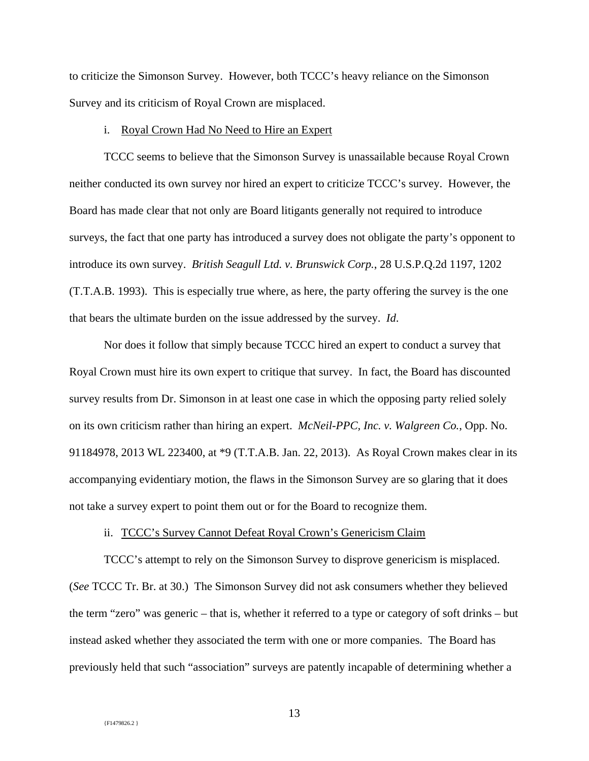to criticize the Simonson Survey. However, both TCCC's heavy reliance on the Simonson Survey and its criticism of Royal Crown are misplaced.

#### i. Royal Crown Had No Need to Hire an Expert

TCCC seems to believe that the Simonson Survey is unassailable because Royal Crown neither conducted its own survey nor hired an expert to criticize TCCC's survey. However, the Board has made clear that not only are Board litigants generally not required to introduce surveys, the fact that one party has introduced a survey does not obligate the party's opponent to introduce its own survey. *British Seagull Ltd. v. Brunswick Corp.*, 28 U.S.P.Q.2d 1197, 1202 (T.T.A.B. 1993). This is especially true where, as here, the party offering the survey is the one that bears the ultimate burden on the issue addressed by the survey. *Id*.

Nor does it follow that simply because TCCC hired an expert to conduct a survey that Royal Crown must hire its own expert to critique that survey. In fact, the Board has discounted survey results from Dr. Simonson in at least one case in which the opposing party relied solely on its own criticism rather than hiring an expert. *McNeil-PPC, Inc. v. Walgreen Co.*, Opp. No. 91184978, 2013 WL 223400, at \*9 (T.T.A.B. Jan. 22, 2013). As Royal Crown makes clear in its accompanying evidentiary motion, the flaws in the Simonson Survey are so glaring that it does not take a survey expert to point them out or for the Board to recognize them.

### ii. TCCC's Survey Cannot Defeat Royal Crown's Genericism Claim

TCCC's attempt to rely on the Simonson Survey to disprove genericism is misplaced. (*See* TCCC Tr. Br. at 30.) The Simonson Survey did not ask consumers whether they believed the term "zero" was generic – that is, whether it referred to a type or category of soft drinks – but instead asked whether they associated the term with one or more companies. The Board has previously held that such "association" surveys are patently incapable of determining whether a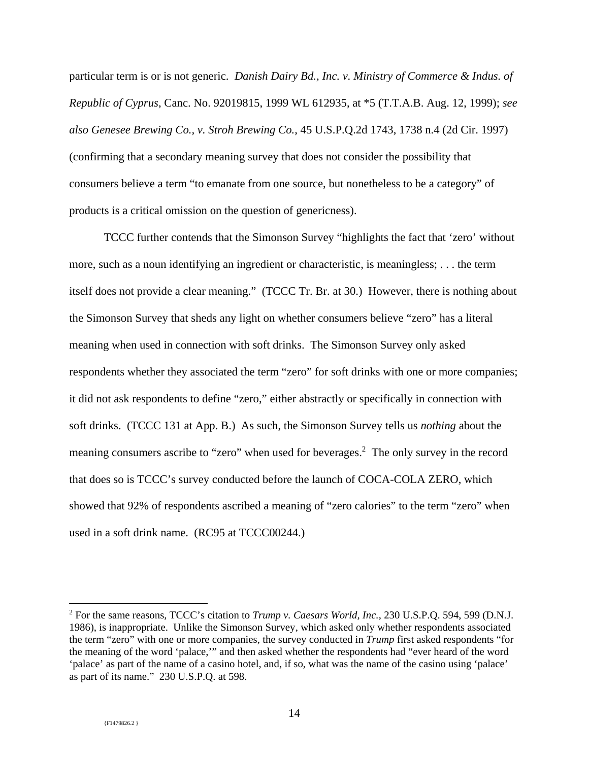particular term is or is not generic. *Danish Dairy Bd., Inc. v. Ministry of Commerce & Indus. of Republic of Cyprus*, Canc. No. 92019815, 1999 WL 612935, at \*5 (T.T.A.B. Aug. 12, 1999); *see also Genesee Brewing Co., v. Stroh Brewing Co.*, 45 U.S.P.Q.2d 1743, 1738 n.4 (2d Cir. 1997) (confirming that a secondary meaning survey that does not consider the possibility that consumers believe a term "to emanate from one source, but nonetheless to be a category" of products is a critical omission on the question of genericness).

TCCC further contends that the Simonson Survey "highlights the fact that 'zero' without more, such as a noun identifying an ingredient or characteristic, is meaningless; . . . the term itself does not provide a clear meaning." (TCCC Tr. Br. at 30.) However, there is nothing about the Simonson Survey that sheds any light on whether consumers believe "zero" has a literal meaning when used in connection with soft drinks. The Simonson Survey only asked respondents whether they associated the term "zero" for soft drinks with one or more companies; it did not ask respondents to define "zero," either abstractly or specifically in connection with soft drinks. (TCCC 131 at App. B.) As such, the Simonson Survey tells us *nothing* about the meaning consumers ascribe to "zero" when used for beverages.<sup>2</sup> The only survey in the record that does so is TCCC's survey conducted before the launch of COCA-COLA ZERO, which showed that 92% of respondents ascribed a meaning of "zero calories" to the term "zero" when used in a soft drink name. (RC95 at TCCC00244.)

<sup>2</sup> For the same reasons, TCCC's citation to *Trump v. Caesars World, Inc.*, 230 U.S.P.Q. 594, 599 (D.N.J. 1986), is inappropriate. Unlike the Simonson Survey, which asked only whether respondents associated the term "zero" with one or more companies, the survey conducted in *Trump* first asked respondents "for the meaning of the word 'palace,'" and then asked whether the respondents had "ever heard of the word 'palace' as part of the name of a casino hotel, and, if so, what was the name of the casino using 'palace' as part of its name." 230 U.S.P.Q. at 598.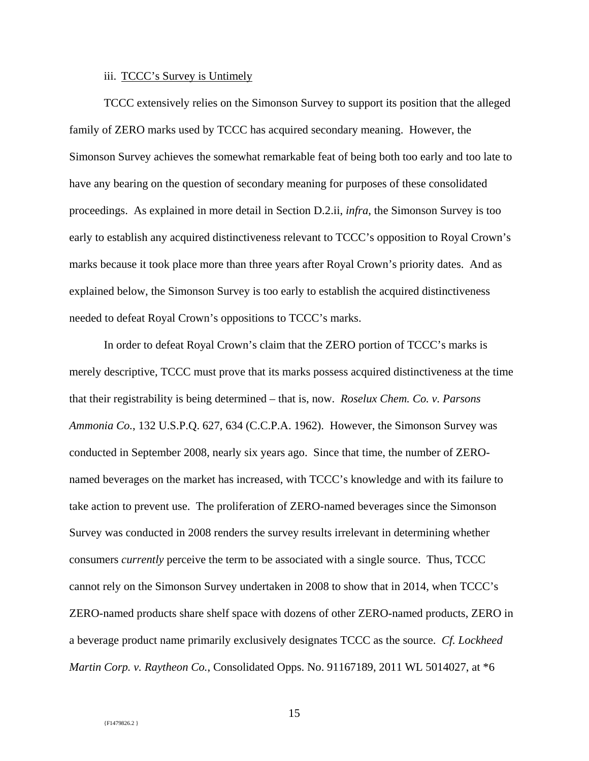#### iii. TCCC's Survey is Untimely

TCCC extensively relies on the Simonson Survey to support its position that the alleged family of ZERO marks used by TCCC has acquired secondary meaning. However, the Simonson Survey achieves the somewhat remarkable feat of being both too early and too late to have any bearing on the question of secondary meaning for purposes of these consolidated proceedings. As explained in more detail in Section D.2.ii, *infra*, the Simonson Survey is too early to establish any acquired distinctiveness relevant to TCCC's opposition to Royal Crown's marks because it took place more than three years after Royal Crown's priority dates. And as explained below, the Simonson Survey is too early to establish the acquired distinctiveness needed to defeat Royal Crown's oppositions to TCCC's marks.

In order to defeat Royal Crown's claim that the ZERO portion of TCCC's marks is merely descriptive, TCCC must prove that its marks possess acquired distinctiveness at the time that their registrability is being determined – that is, now. *Roselux Chem. Co. v. Parsons Ammonia Co.*, 132 U.S.P.Q. 627, 634 (C.C.P.A. 1962). However, the Simonson Survey was conducted in September 2008, nearly six years ago. Since that time, the number of ZEROnamed beverages on the market has increased, with TCCC's knowledge and with its failure to take action to prevent use. The proliferation of ZERO-named beverages since the Simonson Survey was conducted in 2008 renders the survey results irrelevant in determining whether consumers *currently* perceive the term to be associated with a single source. Thus, TCCC cannot rely on the Simonson Survey undertaken in 2008 to show that in 2014, when TCCC's ZERO-named products share shelf space with dozens of other ZERO-named products, ZERO in a beverage product name primarily exclusively designates TCCC as the source. *Cf. Lockheed Martin Corp. v. Raytheon Co.*, Consolidated Opps. No. 91167189, 2011 WL 5014027, at \*6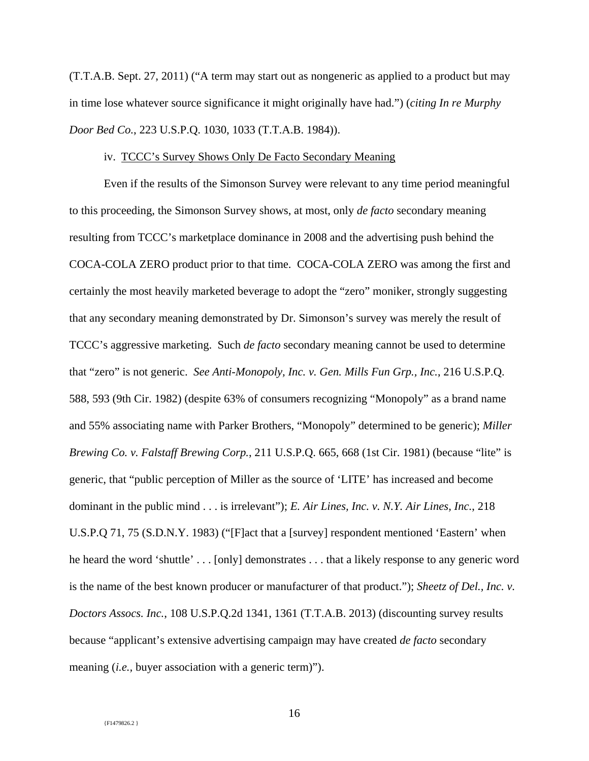(T.T.A.B. Sept. 27, 2011) ("A term may start out as nongeneric as applied to a product but may in time lose whatever source significance it might originally have had.") (*citing In re Murphy Door Bed Co.*, 223 U.S.P.Q. 1030, 1033 (T.T.A.B. 1984)).

#### iv. TCCC's Survey Shows Only De Facto Secondary Meaning

Even if the results of the Simonson Survey were relevant to any time period meaningful to this proceeding, the Simonson Survey shows, at most, only *de facto* secondary meaning resulting from TCCC's marketplace dominance in 2008 and the advertising push behind the COCA-COLA ZERO product prior to that time. COCA-COLA ZERO was among the first and certainly the most heavily marketed beverage to adopt the "zero" moniker, strongly suggesting that any secondary meaning demonstrated by Dr. Simonson's survey was merely the result of TCCC's aggressive marketing. Such *de facto* secondary meaning cannot be used to determine that "zero" is not generic. *See Anti-Monopoly, Inc. v. Gen. Mills Fun Grp., Inc.*, 216 U.S.P.Q. 588, 593 (9th Cir. 1982) (despite 63% of consumers recognizing "Monopoly" as a brand name and 55% associating name with Parker Brothers, "Monopoly" determined to be generic); *Miller Brewing Co. v. Falstaff Brewing Corp.*, 211 U.S.P.Q. 665, 668 (1st Cir. 1981) (because "lite" is generic, that "public perception of Miller as the source of 'LITE' has increased and become dominant in the public mind . . . is irrelevant"); *E. Air Lines, Inc. v. N.Y. Air Lines, Inc.*, 218 U.S.P.Q 71, 75 (S.D.N.Y. 1983) ("[F]act that a [survey] respondent mentioned 'Eastern' when he heard the word 'shuttle' . . . [only] demonstrates . . . that a likely response to any generic word is the name of the best known producer or manufacturer of that product."); *Sheetz of Del., Inc. v. Doctors Assocs. Inc.*, 108 U.S.P.Q.2d 1341, 1361 (T.T.A.B. 2013) (discounting survey results because "applicant's extensive advertising campaign may have created *de facto* secondary meaning *(i.e., buyer association with a generic term)*").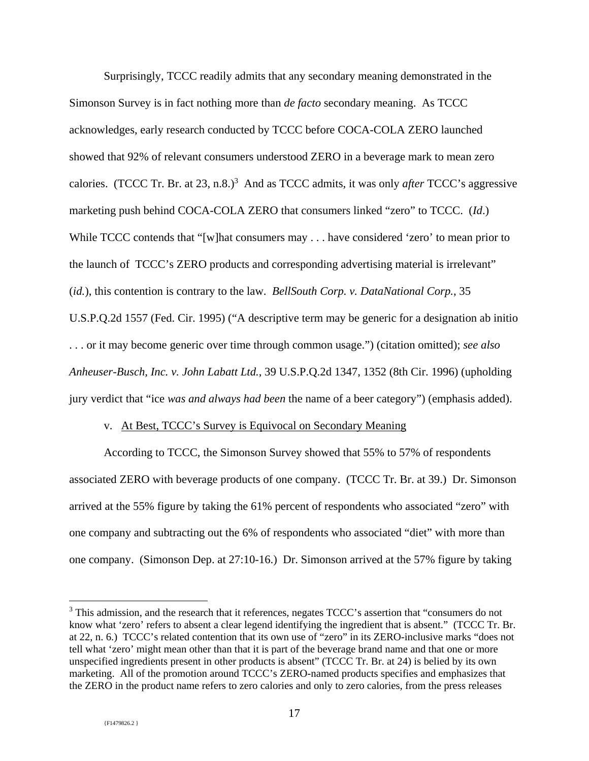Surprisingly, TCCC readily admits that any secondary meaning demonstrated in the Simonson Survey is in fact nothing more than *de facto* secondary meaning. As TCCC acknowledges, early research conducted by TCCC before COCA-COLA ZERO launched showed that 92% of relevant consumers understood ZERO in a beverage mark to mean zero calories. (TCCC Tr. Br. at 23, n.8.)<sup>3</sup> And as TCCC admits, it was only *after* TCCC's aggressive marketing push behind COCA-COLA ZERO that consumers linked "zero" to TCCC. (*Id*.) While TCCC contends that "[w]hat consumers may . . . have considered 'zero' to mean prior to the launch of TCCC's ZERO products and corresponding advertising material is irrelevant" (*id.*), this contention is contrary to the law. *BellSouth Corp. v. DataNational Corp.*, 35 U.S.P.Q.2d 1557 (Fed. Cir. 1995) ("A descriptive term may be generic for a designation ab initio . . . or it may become generic over time through common usage.") (citation omitted); *see also Anheuser-Busch, Inc. v. John Labatt Ltd.*, 39 U.S.P.Q.2d 1347, 1352 (8th Cir. 1996) (upholding jury verdict that "ice *was and always had been* the name of a beer category") (emphasis added).

### v. At Best, TCCC's Survey is Equivocal on Secondary Meaning

According to TCCC, the Simonson Survey showed that 55% to 57% of respondents associated ZERO with beverage products of one company. (TCCC Tr. Br. at 39.) Dr. Simonson arrived at the 55% figure by taking the 61% percent of respondents who associated "zero" with one company and subtracting out the 6% of respondents who associated "diet" with more than one company. (Simonson Dep. at 27:10-16.) Dr. Simonson arrived at the 57% figure by taking

<sup>&</sup>lt;sup>3</sup> This admission, and the research that it references, negates TCCC's assertion that "consumers do not know what 'zero' refers to absent a clear legend identifying the ingredient that is absent." (TCCC Tr. Br. at 22, n. 6.) TCCC's related contention that its own use of "zero" in its ZERO-inclusive marks "does not tell what 'zero' might mean other than that it is part of the beverage brand name and that one or more unspecified ingredients present in other products is absent" (TCCC Tr. Br. at 24) is belied by its own marketing. All of the promotion around TCCC's ZERO-named products specifies and emphasizes that the ZERO in the product name refers to zero calories and only to zero calories, from the press releases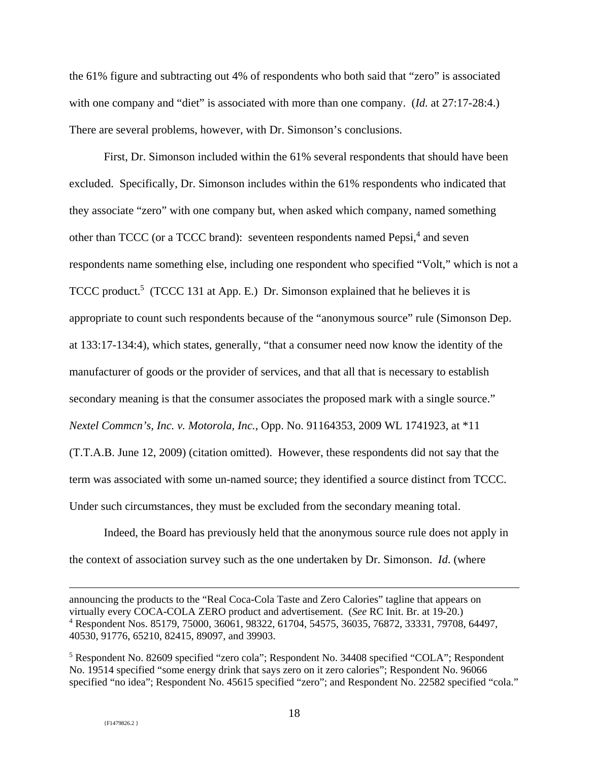the 61% figure and subtracting out 4% of respondents who both said that "zero" is associated with one company and "diet" is associated with more than one company. (*Id.* at 27:17-28:4.) There are several problems, however, with Dr. Simonson's conclusions.

First, Dr. Simonson included within the 61% several respondents that should have been excluded. Specifically, Dr. Simonson includes within the 61% respondents who indicated that they associate "zero" with one company but, when asked which company, named something other than TCCC (or a TCCC brand): seventeen respondents named Pepsi,<sup>4</sup> and seven respondents name something else, including one respondent who specified "Volt," which is not a TCCC product.<sup>5</sup> (TCCC 131 at App. E.) Dr. Simonson explained that he believes it is appropriate to count such respondents because of the "anonymous source" rule (Simonson Dep. at 133:17-134:4), which states, generally, "that a consumer need now know the identity of the manufacturer of goods or the provider of services, and that all that is necessary to establish secondary meaning is that the consumer associates the proposed mark with a single source." *Nextel Commcn's, Inc. v. Motorola, Inc.*, Opp. No. 91164353, 2009 WL 1741923, at \*11 (T.T.A.B. June 12, 2009) (citation omitted). However, these respondents did not say that the term was associated with some un-named source; they identified a source distinct from TCCC. Under such circumstances, they must be excluded from the secondary meaning total.

Indeed, the Board has previously held that the anonymous source rule does not apply in the context of association survey such as the one undertaken by Dr. Simonson. *Id*. (where

announcing the products to the "Real Coca-Cola Taste and Zero Calories" tagline that appears on virtually every COCA-COLA ZERO product and advertisement. (*See* RC Init. Br. at 19-20.) 4 Respondent Nos. 85179, 75000, 36061, 98322, 61704, 54575, 36035, 76872, 33331, 79708, 64497, 40530, 91776, 65210, 82415, 89097, and 39903.

<sup>&</sup>lt;sup>5</sup> Respondent No. 82609 specified "zero cola"; Respondent No. 34408 specified "COLA"; Respondent No. 19514 specified "some energy drink that says zero on it zero calories"; Respondent No. 96066 specified "no idea"; Respondent No. 45615 specified "zero"; and Respondent No. 22582 specified "cola."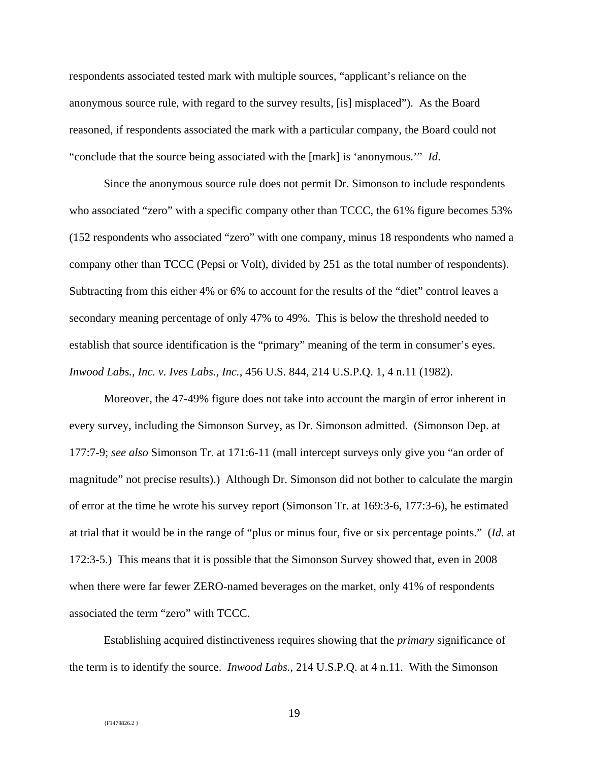respondents associated tested mark with multiple sources, "applicant's reliance on the anonymous source rule, with regard to the survey results, [is] misplaced"). As the Board reasoned, if respondents associated the mark with a particular company, the Board could not "conclude that the source being associated with the [mark] is 'anonymous.'" *Id*.

Since the anonymous source rule does not permit Dr. Simonson to include respondents who associated "zero" with a specific company other than TCCC, the 61% figure becomes 53% (152 respondents who associated "zero" with one company, minus 18 respondents who named a company other than TCCC (Pepsi or Volt), divided by 251 as the total number of respondents). Subtracting from this either 4% or 6% to account for the results of the "diet" control leaves a secondary meaning percentage of only 47% to 49%. This is below the threshold needed to establish that source identification is the "primary" meaning of the term in consumer's eyes. *Inwood Labs., Inc. v. Ives Labs., Inc.*, 456 U.S. 844, 214 U.S.P.Q. 1, 4 n.11 (1982).

Moreover, the 47-49% figure does not take into account the margin of error inherent in every survey, including the Simonson Survey, as Dr. Simonson admitted. (Simonson Dep. at 177:7-9; *see also* Simonson Tr. at 171:6-11 (mall intercept surveys only give you "an order of magnitude" not precise results).) Although Dr. Simonson did not bother to calculate the margin of error at the time he wrote his survey report (Simonson Tr. at 169:3-6, 177:3-6), he estimated at trial that it would be in the range of "plus or minus four, five or six percentage points." (*Id.* at 172:3-5.) This means that it is possible that the Simonson Survey showed that, even in 2008 when there were far fewer ZERO-named beverages on the market, only 41% of respondents associated the term "zero" with TCCC.

Establishing acquired distinctiveness requires showing that the *primary* significance of the term is to identify the source. *Inwood Labs.*, 214 U.S.P.Q. at 4 n.11. With the Simonson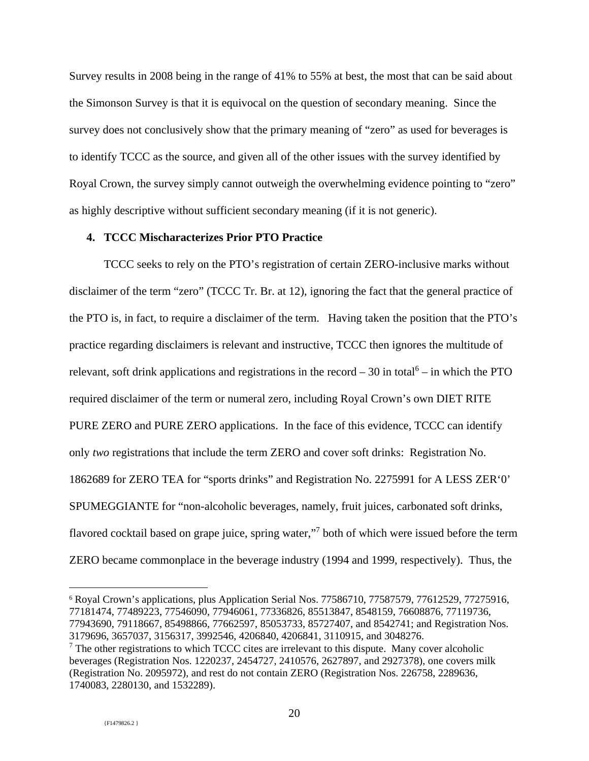Survey results in 2008 being in the range of 41% to 55% at best, the most that can be said about the Simonson Survey is that it is equivocal on the question of secondary meaning. Since the survey does not conclusively show that the primary meaning of "zero" as used for beverages is to identify TCCC as the source, and given all of the other issues with the survey identified by Royal Crown, the survey simply cannot outweigh the overwhelming evidence pointing to "zero" as highly descriptive without sufficient secondary meaning (if it is not generic).

## **4. TCCC Mischaracterizes Prior PTO Practice**

TCCC seeks to rely on the PTO's registration of certain ZERO-inclusive marks without disclaimer of the term "zero" (TCCC Tr. Br. at 12), ignoring the fact that the general practice of the PTO is, in fact, to require a disclaimer of the term. Having taken the position that the PTO's practice regarding disclaimers is relevant and instructive, TCCC then ignores the multitude of relevant, soft drink applications and registrations in the record  $-30$  in total<sup>6</sup>  $-$  in which the PTO required disclaimer of the term or numeral zero, including Royal Crown's own DIET RITE PURE ZERO and PURE ZERO applications. In the face of this evidence, TCCC can identify only *two* registrations that include the term ZERO and cover soft drinks: Registration No. 1862689 for ZERO TEA for "sports drinks" and Registration No. 2275991 for A LESS ZER'0' SPUMEGGIANTE for "non-alcoholic beverages, namely, fruit juices, carbonated soft drinks, flavored cocktail based on grape juice, spring water,"<sup>7</sup> both of which were issued before the term ZERO became commonplace in the beverage industry (1994 and 1999, respectively). Thus, the

<sup>6</sup> Royal Crown's applications, plus Application Serial Nos. 77586710, 77587579, 77612529, 77275916, 77181474, 77489223, 77546090, 77946061, 77336826, 85513847, 8548159, 76608876, 77119736, 77943690, 79118667, 85498866, 77662597, 85053733, 85727407, and 8542741; and Registration Nos. 3179696, 3657037, 3156317, 3992546, 4206840, 4206841, 3110915, and 3048276.

 $7$  The other registrations to which TCCC cites are irrelevant to this dispute. Many cover alcoholic beverages (Registration Nos. 1220237, 2454727, 2410576, 2627897, and 2927378), one covers milk (Registration No. 2095972), and rest do not contain ZERO (Registration Nos. 226758, 2289636, 1740083, 2280130, and 1532289).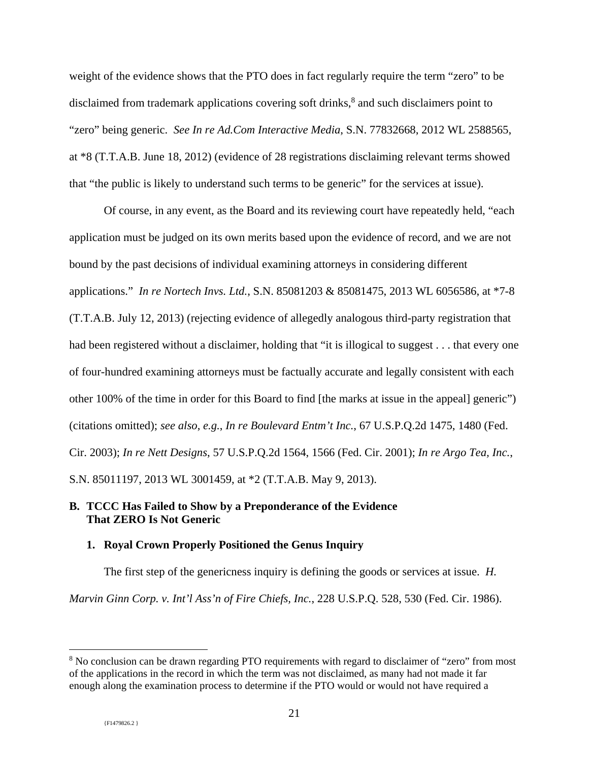weight of the evidence shows that the PTO does in fact regularly require the term "zero" to be disclaimed from trademark applications covering soft drinks,<sup>8</sup> and such disclaimers point to "zero" being generic. *See In re Ad.Com Interactive Media*, S.N. 77832668, 2012 WL 2588565, at \*8 (T.T.A.B. June 18, 2012) (evidence of 28 registrations disclaiming relevant terms showed that "the public is likely to understand such terms to be generic" for the services at issue).

Of course, in any event, as the Board and its reviewing court have repeatedly held, "each application must be judged on its own merits based upon the evidence of record, and we are not bound by the past decisions of individual examining attorneys in considering different applications." *In re Nortech Invs. Ltd.*, S.N. 85081203 & 85081475, 2013 WL 6056586, at \*7-8 (T.T.A.B. July 12, 2013) (rejecting evidence of allegedly analogous third-party registration that had been registered without a disclaimer, holding that "it is illogical to suggest . . . that every one of four-hundred examining attorneys must be factually accurate and legally consistent with each other 100% of the time in order for this Board to find [the marks at issue in the appeal] generic") (citations omitted); *see also*, *e.g.*, *In re Boulevard Entm't Inc.*, 67 U.S.P.Q.2d 1475, 1480 (Fed. Cir. 2003); *In re Nett Designs*, 57 U.S.P.Q.2d 1564, 1566 (Fed. Cir. 2001); *In re Argo Tea, Inc.*, S.N. 85011197, 2013 WL 3001459, at \*2 (T.T.A.B. May 9, 2013).

## **B. TCCC Has Failed to Show by a Preponderance of the Evidence That ZERO Is Not Generic**

## **1. Royal Crown Properly Positioned the Genus Inquiry**

The first step of the genericness inquiry is defining the goods or services at issue. *H. Marvin Ginn Corp. v. Int'l Ass'n of Fire Chiefs, Inc.*, 228 U.S.P.Q. 528, 530 (Fed. Cir. 1986).

<sup>&</sup>lt;sup>8</sup> No conclusion can be drawn regarding PTO requirements with regard to disclaimer of "zero" from most of the applications in the record in which the term was not disclaimed, as many had not made it far enough along the examination process to determine if the PTO would or would not have required a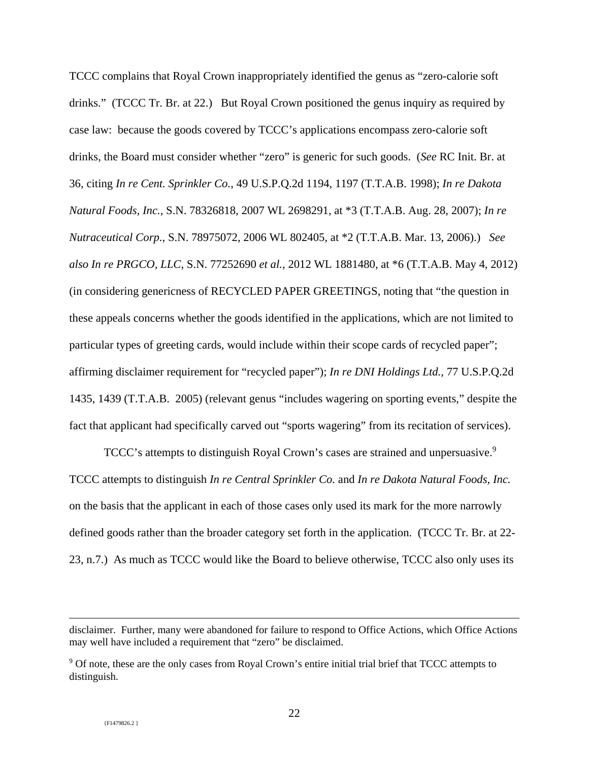TCCC complains that Royal Crown inappropriately identified the genus as "zero-calorie soft drinks." (TCCC Tr. Br. at 22.) But Royal Crown positioned the genus inquiry as required by case law: because the goods covered by TCCC's applications encompass zero-calorie soft drinks, the Board must consider whether "zero" is generic for such goods. (*See* RC Init. Br. at 36, citing *In re Cent. Sprinkler Co.*, 49 U.S.P.Q.2d 1194, 1197 (T.T.A.B. 1998); *In re Dakota Natural Foods, Inc.*, S.N. 78326818, 2007 WL 2698291, at \*3 (T.T.A.B. Aug. 28, 2007); *In re Nutraceutical Corp.*, S.N. 78975072, 2006 WL 802405, at \*2 (T.T.A.B. Mar. 13, 2006).) *See also In re PRGCO, LLC*, S.N. 77252690 *et al.*, 2012 WL 1881480, at \*6 (T.T.A.B. May 4, 2012) (in considering genericness of RECYCLED PAPER GREETINGS, noting that "the question in these appeals concerns whether the goods identified in the applications, which are not limited to particular types of greeting cards, would include within their scope cards of recycled paper"; affirming disclaimer requirement for "recycled paper"); *In re DNI Holdings Ltd.*, 77 U.S.P.Q.2d 1435, 1439 (T.T.A.B. 2005) (relevant genus "includes wagering on sporting events," despite the fact that applicant had specifically carved out "sports wagering" from its recitation of services).

TCCC's attempts to distinguish Royal Crown's cases are strained and unpersuasive.<sup>9</sup> TCCC attempts to distinguish *In re Central Sprinkler Co.* and *In re Dakota Natural Foods, Inc.* on the basis that the applicant in each of those cases only used its mark for the more narrowly defined goods rather than the broader category set forth in the application. (TCCC Tr. Br. at 22- 23, n.7.) As much as TCCC would like the Board to believe otherwise, TCCC also only uses its

disclaimer. Further, many were abandoned for failure to respond to Office Actions, which Office Actions may well have included a requirement that "zero" be disclaimed.

<sup>&</sup>lt;sup>9</sup> Of note, these are the only cases from Royal Crown's entire initial trial brief that TCCC attempts to distinguish.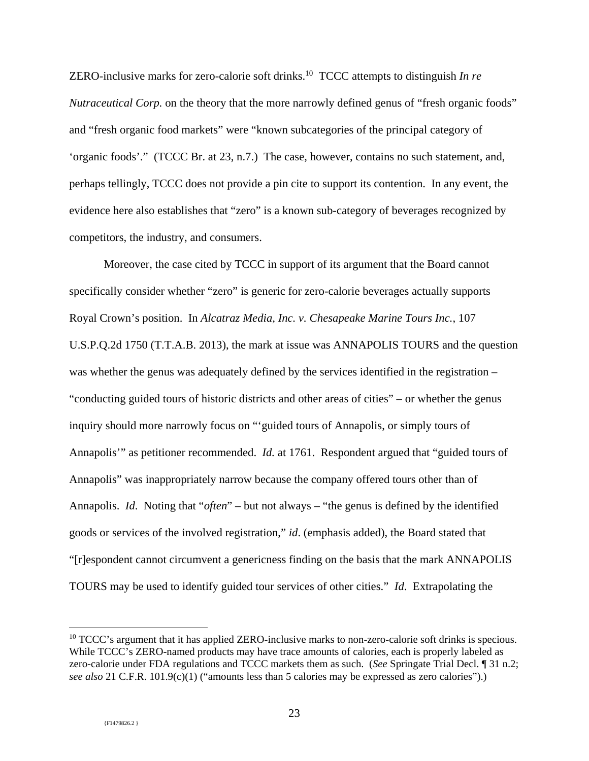ZERO-inclusive marks for zero-calorie soft drinks.<sup>10</sup> TCCC attempts to distinguish *In re Nutraceutical Corp.* on the theory that the more narrowly defined genus of "fresh organic foods" and "fresh organic food markets" were "known subcategories of the principal category of 'organic foods'." (TCCC Br. at 23, n.7.) The case, however, contains no such statement, and, perhaps tellingly, TCCC does not provide a pin cite to support its contention. In any event, the evidence here also establishes that "zero" is a known sub-category of beverages recognized by competitors, the industry, and consumers.

Moreover, the case cited by TCCC in support of its argument that the Board cannot specifically consider whether "zero" is generic for zero-calorie beverages actually supports Royal Crown's position. In *Alcatraz Media, Inc. v. Chesapeake Marine Tours Inc.*, 107 U.S.P.Q.2d 1750 (T.T.A.B. 2013), the mark at issue was ANNAPOLIS TOURS and the question was whether the genus was adequately defined by the services identified in the registration – "conducting guided tours of historic districts and other areas of cities" – or whether the genus inquiry should more narrowly focus on "'guided tours of Annapolis, or simply tours of Annapolis'" as petitioner recommended. *Id.* at 1761. Respondent argued that "guided tours of Annapolis" was inappropriately narrow because the company offered tours other than of Annapolis. *Id*. Noting that "*often*" – but not always – "the genus is defined by the identified goods or services of the involved registration," *id*. (emphasis added), the Board stated that "[r]espondent cannot circumvent a genericness finding on the basis that the mark ANNAPOLIS TOURS may be used to identify guided tour services of other cities." *Id*. Extrapolating the

 $10$  TCCC's argument that it has applied ZERO-inclusive marks to non-zero-calorie soft drinks is specious. While TCCC's ZERO-named products may have trace amounts of calories, each is properly labeled as zero-calorie under FDA regulations and TCCC markets them as such. (*See* Springate Trial Decl. ¶ 31 n.2; *see also* 21 C.F.R. 101.9(c)(1) ("amounts less than 5 calories may be expressed as zero calories").)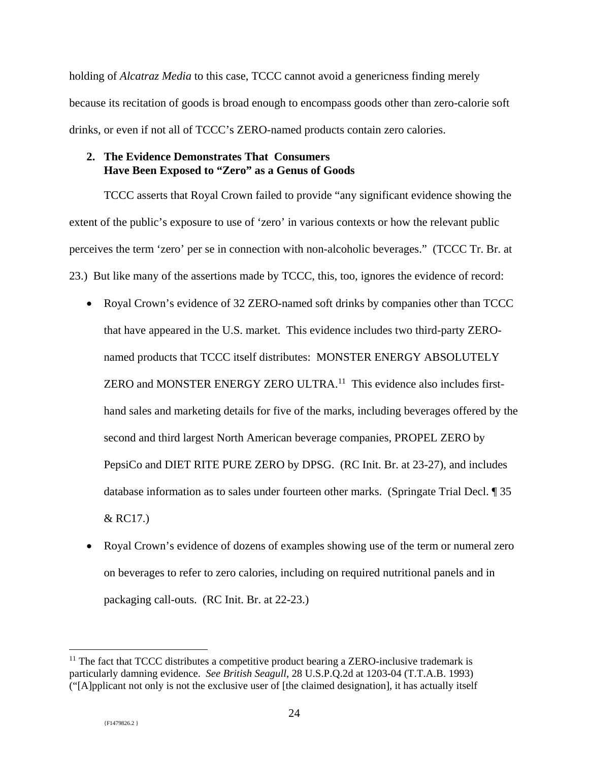holding of *Alcatraz Media* to this case, TCCC cannot avoid a genericness finding merely because its recitation of goods is broad enough to encompass goods other than zero-calorie soft drinks, or even if not all of TCCC's ZERO-named products contain zero calories.

## **2. The Evidence Demonstrates That Consumers Have Been Exposed to "Zero" as a Genus of Goods**

TCCC asserts that Royal Crown failed to provide "any significant evidence showing the extent of the public's exposure to use of 'zero' in various contexts or how the relevant public perceives the term 'zero' per se in connection with non-alcoholic beverages." (TCCC Tr. Br. at 23.) But like many of the assertions made by TCCC, this, too, ignores the evidence of record:

- Royal Crown's evidence of 32 ZERO-named soft drinks by companies other than TCCC that have appeared in the U.S. market. This evidence includes two third-party ZEROnamed products that TCCC itself distributes: MONSTER ENERGY ABSOLUTELY ZERO and MONSTER ENERGY ZERO ULTRA.<sup>11</sup> This evidence also includes firsthand sales and marketing details for five of the marks, including beverages offered by the second and third largest North American beverage companies, PROPEL ZERO by PepsiCo and DIET RITE PURE ZERO by DPSG. (RC Init. Br. at 23-27), and includes database information as to sales under fourteen other marks. (Springate Trial Decl. ¶ 35 & RC17.)
- Royal Crown's evidence of dozens of examples showing use of the term or numeral zero on beverages to refer to zero calories, including on required nutritional panels and in packaging call-outs. (RC Init. Br. at 22-23.)

 $\overline{a}$  $11$  The fact that TCCC distributes a competitive product bearing a ZERO-inclusive trademark is particularly damning evidence. *See British Seagull*, 28 U.S.P.Q.2d at 1203-04 (T.T.A.B. 1993) ("[A]pplicant not only is not the exclusive user of [the claimed designation], it has actually itself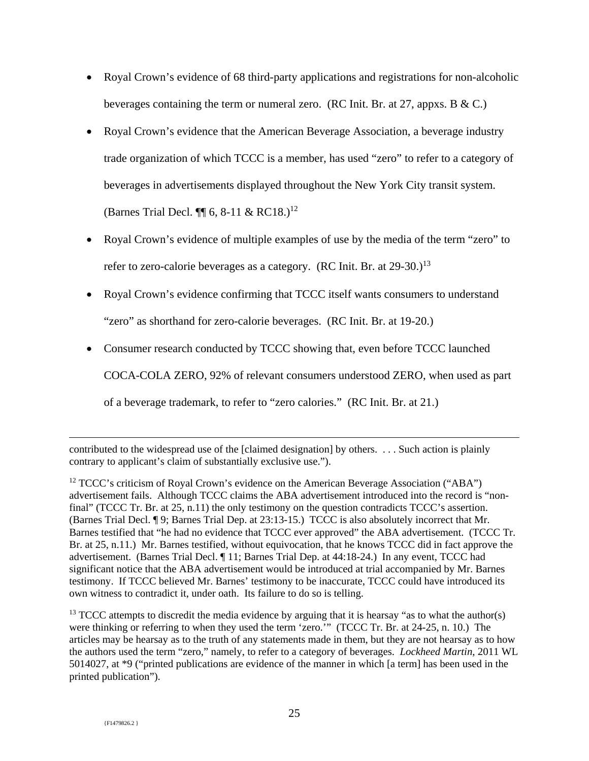- Royal Crown's evidence of 68 third-party applications and registrations for non-alcoholic beverages containing the term or numeral zero. (RC Init. Br. at 27, appxs. B & C.)
- Royal Crown's evidence that the American Beverage Association, a beverage industry trade organization of which TCCC is a member, has used "zero" to refer to a category of beverages in advertisements displayed throughout the New York City transit system. (Barnes Trial Decl.  $\P\P$  6, 8-11 & RC18.)<sup>12</sup>
- Royal Crown's evidence of multiple examples of use by the media of the term "zero" to refer to zero-calorie beverages as a category. (RC Init. Br. at  $29-30.1^{13}$ )
- Royal Crown's evidence confirming that TCCC itself wants consumers to understand "zero" as shorthand for zero-calorie beverages. (RC Init. Br. at 19-20.)
- Consumer research conducted by TCCC showing that, even before TCCC launched COCA-COLA ZERO, 92% of relevant consumers understood ZERO, when used as part of a beverage trademark, to refer to "zero calories." (RC Init. Br. at 21.)

 $\overline{a}$ contributed to the widespread use of the [claimed designation] by others. . . . Such action is plainly contrary to applicant's claim of substantially exclusive use.").

 $12$  TCCC's criticism of Royal Crown's evidence on the American Beverage Association ("ABA") advertisement fails. Although TCCC claims the ABA advertisement introduced into the record is "nonfinal" (TCCC Tr. Br. at 25, n.11) the only testimony on the question contradicts TCCC's assertion. (Barnes Trial Decl. ¶ 9; Barnes Trial Dep. at 23:13-15.) TCCC is also absolutely incorrect that Mr. Barnes testified that "he had no evidence that TCCC ever approved" the ABA advertisement. (TCCC Tr. Br. at 25, n.11.) Mr. Barnes testified, without equivocation, that he knows TCCC did in fact approve the advertisement. (Barnes Trial Decl. ¶ 11; Barnes Trial Dep. at 44:18-24.) In any event, TCCC had significant notice that the ABA advertisement would be introduced at trial accompanied by Mr. Barnes testimony. If TCCC believed Mr. Barnes' testimony to be inaccurate, TCCC could have introduced its own witness to contradict it, under oath. Its failure to do so is telling.

 $13$  TCCC attempts to discredit the media evidence by arguing that it is hearsay "as to what the author(s) were thinking or referring to when they used the term 'zero.'" (TCCC Tr. Br. at 24-25, n. 10.) The articles may be hearsay as to the truth of any statements made in them, but they are not hearsay as to how the authors used the term "zero," namely, to refer to a category of beverages. *Lockheed Martin*, 2011 WL 5014027, at \*9 ("printed publications are evidence of the manner in which [a term] has been used in the printed publication").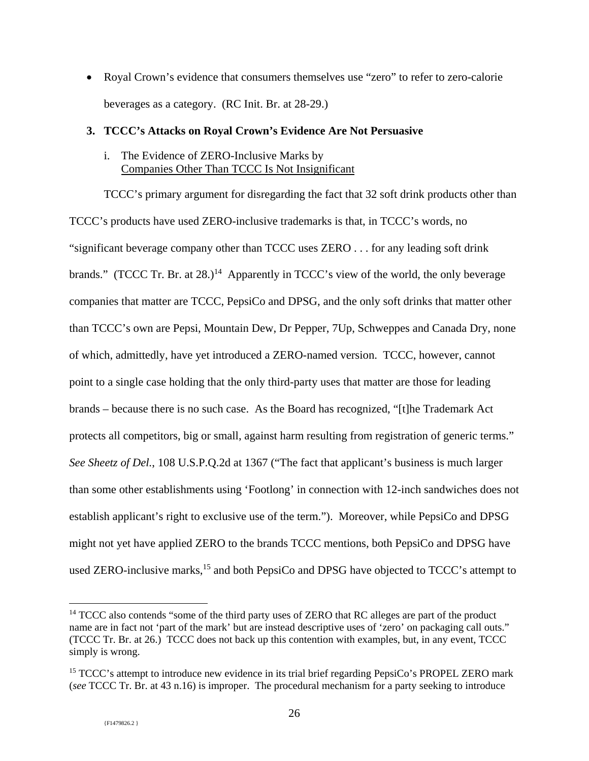• Royal Crown's evidence that consumers themselves use "zero" to refer to zero-calorie beverages as a category. (RC Init. Br. at 28-29.)

## **3. TCCC's Attacks on Royal Crown's Evidence Are Not Persuasive**

## i. The Evidence of ZERO-Inclusive Marks by Companies Other Than TCCC Is Not Insignificant

TCCC's primary argument for disregarding the fact that 32 soft drink products other than TCCC's products have used ZERO-inclusive trademarks is that, in TCCC's words, no "significant beverage company other than TCCC uses ZERO . . . for any leading soft drink brands." (TCCC Tr. Br. at  $28.1<sup>14</sup>$  Apparently in TCCC's view of the world, the only beverage companies that matter are TCCC, PepsiCo and DPSG, and the only soft drinks that matter other than TCCC's own are Pepsi, Mountain Dew, Dr Pepper, 7Up, Schweppes and Canada Dry, none of which, admittedly, have yet introduced a ZERO-named version. TCCC, however, cannot point to a single case holding that the only third-party uses that matter are those for leading brands – because there is no such case. As the Board has recognized, "[t]he Trademark Act protects all competitors, big or small, against harm resulting from registration of generic terms." *See Sheetz of Del.*, 108 U.S.P.Q.2d at 1367 ("The fact that applicant's business is much larger than some other establishments using 'Footlong' in connection with 12-inch sandwiches does not establish applicant's right to exclusive use of the term."). Moreover, while PepsiCo and DPSG might not yet have applied ZERO to the brands TCCC mentions, both PepsiCo and DPSG have used ZERO-inclusive marks,<sup>15</sup> and both PepsiCo and DPSG have objected to TCCC's attempt to

<sup>&</sup>lt;sup>14</sup> TCCC also contends "some of the third party uses of ZERO that RC alleges are part of the product name are in fact not 'part of the mark' but are instead descriptive uses of 'zero' on packaging call outs." (TCCC Tr. Br. at 26.) TCCC does not back up this contention with examples, but, in any event, TCCC simply is wrong.

<sup>&</sup>lt;sup>15</sup> TCCC's attempt to introduce new evidence in its trial brief regarding PepsiCo's PROPEL ZERO mark (*see* TCCC Tr. Br. at 43 n.16) is improper. The procedural mechanism for a party seeking to introduce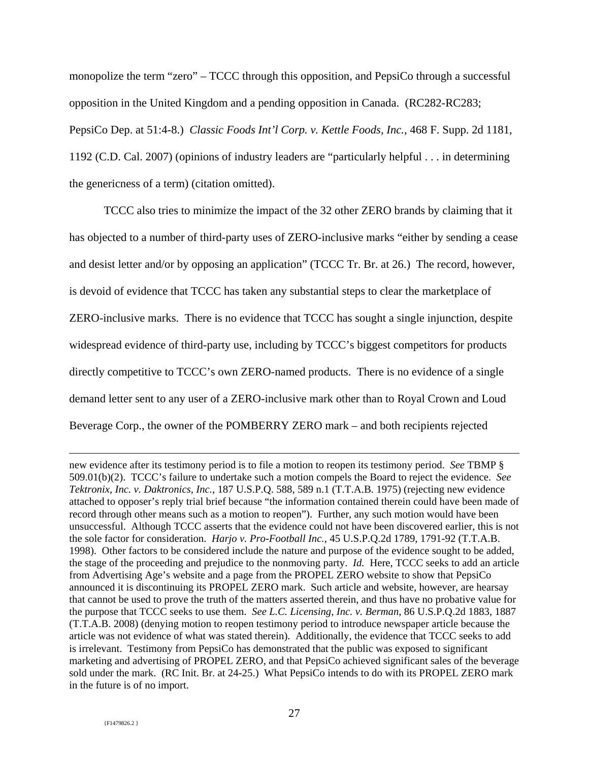monopolize the term "zero" – TCCC through this opposition, and PepsiCo through a successful opposition in the United Kingdom and a pending opposition in Canada. (RC282-RC283; PepsiCo Dep. at 51:4-8.) *Classic Foods Int'l Corp. v. Kettle Foods, Inc.*, 468 F. Supp. 2d 1181, 1192 (C.D. Cal. 2007) (opinions of industry leaders are "particularly helpful . . . in determining the genericness of a term) (citation omitted).

TCCC also tries to minimize the impact of the 32 other ZERO brands by claiming that it has objected to a number of third-party uses of ZERO-inclusive marks "either by sending a cease and desist letter and/or by opposing an application" (TCCC Tr. Br. at 26.) The record, however, is devoid of evidence that TCCC has taken any substantial steps to clear the marketplace of ZERO-inclusive marks. There is no evidence that TCCC has sought a single injunction, despite widespread evidence of third-party use, including by TCCC's biggest competitors for products directly competitive to TCCC's own ZERO-named products. There is no evidence of a single demand letter sent to any user of a ZERO-inclusive mark other than to Royal Crown and Loud Beverage Corp., the owner of the POMBERRY ZERO mark – and both recipients rejected

new evidence after its testimony period is to file a motion to reopen its testimony period. *See* TBMP § 509.01(b)(2). TCCC's failure to undertake such a motion compels the Board to reject the evidence. *See Tektronix, Inc. v. Daktronics, Inc.*, 187 U.S.P.Q. 588, 589 n.1 (T.T.A.B. 1975) (rejecting new evidence attached to opposer's reply trial brief because "the information contained therein could have been made of record through other means such as a motion to reopen"). Further, any such motion would have been unsuccessful. Although TCCC asserts that the evidence could not have been discovered earlier, this is not the sole factor for consideration. *Harjo v. Pro-Football Inc.*, 45 U.S.P.Q.2d 1789, 1791-92 (T.T.A.B. 1998). Other factors to be considered include the nature and purpose of the evidence sought to be added, the stage of the proceeding and prejudice to the nonmoving party. *Id.* Here, TCCC seeks to add an article from Advertising Age's website and a page from the PROPEL ZERO website to show that PepsiCo announced it is discontinuing its PROPEL ZERO mark. Such article and website, however, are hearsay that cannot be used to prove the truth of the matters asserted therein, and thus have no probative value for the purpose that TCCC seeks to use them. *See L.C. Licensing, Inc. v. Berman*, 86 U.S.P.Q.2d 1883, 1887 (T.T.A.B. 2008) (denying motion to reopen testimony period to introduce newspaper article because the article was not evidence of what was stated therein). Additionally, the evidence that TCCC seeks to add is irrelevant. Testimony from PepsiCo has demonstrated that the public was exposed to significant marketing and advertising of PROPEL ZERO, and that PepsiCo achieved significant sales of the beverage sold under the mark. (RC Init. Br. at 24-25.) What PepsiCo intends to do with its PROPEL ZERO mark in the future is of no import.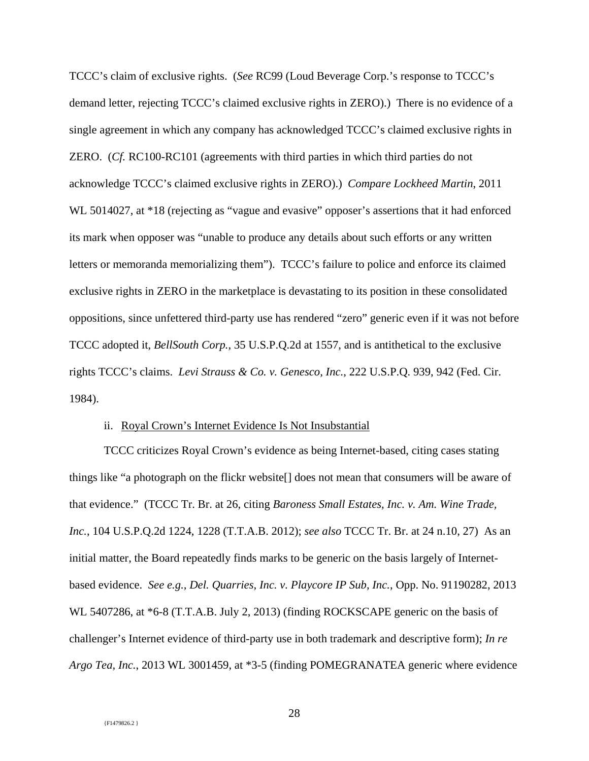TCCC's claim of exclusive rights. (*See* RC99 (Loud Beverage Corp.'s response to TCCC's demand letter, rejecting TCCC's claimed exclusive rights in ZERO).) There is no evidence of a single agreement in which any company has acknowledged TCCC's claimed exclusive rights in ZERO. (*Cf.* RC100-RC101 (agreements with third parties in which third parties do not acknowledge TCCC's claimed exclusive rights in ZERO).) *Compare Lockheed Martin*, 2011 WL 5014027, at \*18 (rejecting as "vague and evasive" opposer's assertions that it had enforced its mark when opposer was "unable to produce any details about such efforts or any written letters or memoranda memorializing them"). TCCC's failure to police and enforce its claimed exclusive rights in ZERO in the marketplace is devastating to its position in these consolidated oppositions, since unfettered third-party use has rendered "zero" generic even if it was not before TCCC adopted it, *BellSouth Corp.*, 35 U.S.P.Q.2d at 1557, and is antithetical to the exclusive rights TCCC's claims. *Levi Strauss & Co. v. Genesco, Inc.*, 222 U.S.P.Q. 939, 942 (Fed. Cir. 1984).

### ii. Royal Crown's Internet Evidence Is Not Insubstantial

TCCC criticizes Royal Crown's evidence as being Internet-based, citing cases stating things like "a photograph on the flickr website[] does not mean that consumers will be aware of that evidence." (TCCC Tr. Br. at 26, citing *Baroness Small Estates, Inc. v. Am. Wine Trade, Inc.*, 104 U.S.P.Q.2d 1224, 1228 (T.T.A.B. 2012); *see also* TCCC Tr. Br. at 24 n.10, 27) As an initial matter, the Board repeatedly finds marks to be generic on the basis largely of Internetbased evidence. *See e.g., Del. Quarries, Inc. v. Playcore IP Sub, Inc.*, Opp. No. 91190282, 2013 WL 5407286, at \*6-8 (T.T.A.B. July 2, 2013) (finding ROCKSCAPE generic on the basis of challenger's Internet evidence of third-party use in both trademark and descriptive form); *In re Argo Tea, Inc.*, 2013 WL 3001459, at \*3-5 (finding POMEGRANATEA generic where evidence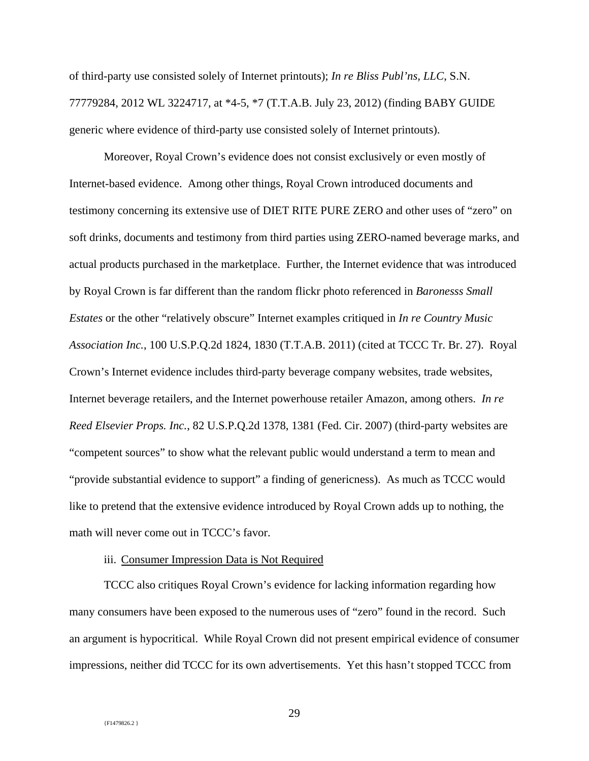of third-party use consisted solely of Internet printouts); *In re Bliss Publ'ns, LLC*, S.N. 77779284, 2012 WL 3224717, at \*4-5, \*7 (T.T.A.B. July 23, 2012) (finding BABY GUIDE generic where evidence of third-party use consisted solely of Internet printouts).

Moreover, Royal Crown's evidence does not consist exclusively or even mostly of Internet-based evidence. Among other things, Royal Crown introduced documents and testimony concerning its extensive use of DIET RITE PURE ZERO and other uses of "zero" on soft drinks, documents and testimony from third parties using ZERO-named beverage marks, and actual products purchased in the marketplace. Further, the Internet evidence that was introduced by Royal Crown is far different than the random flickr photo referenced in *Baronesss Small Estates* or the other "relatively obscure" Internet examples critiqued in *In re Country Music Association Inc.*, 100 U.S.P.Q.2d 1824, 1830 (T.T.A.B. 2011) (cited at TCCC Tr. Br. 27). Royal Crown's Internet evidence includes third-party beverage company websites, trade websites, Internet beverage retailers, and the Internet powerhouse retailer Amazon, among others. *In re Reed Elsevier Props. Inc.*, 82 U.S.P.Q.2d 1378, 1381 (Fed. Cir. 2007) (third-party websites are "competent sources" to show what the relevant public would understand a term to mean and "provide substantial evidence to support" a finding of genericness). As much as TCCC would like to pretend that the extensive evidence introduced by Royal Crown adds up to nothing, the math will never come out in TCCC's favor.

### iii. Consumer Impression Data is Not Required

TCCC also critiques Royal Crown's evidence for lacking information regarding how many consumers have been exposed to the numerous uses of "zero" found in the record. Such an argument is hypocritical. While Royal Crown did not present empirical evidence of consumer impressions, neither did TCCC for its own advertisements. Yet this hasn't stopped TCCC from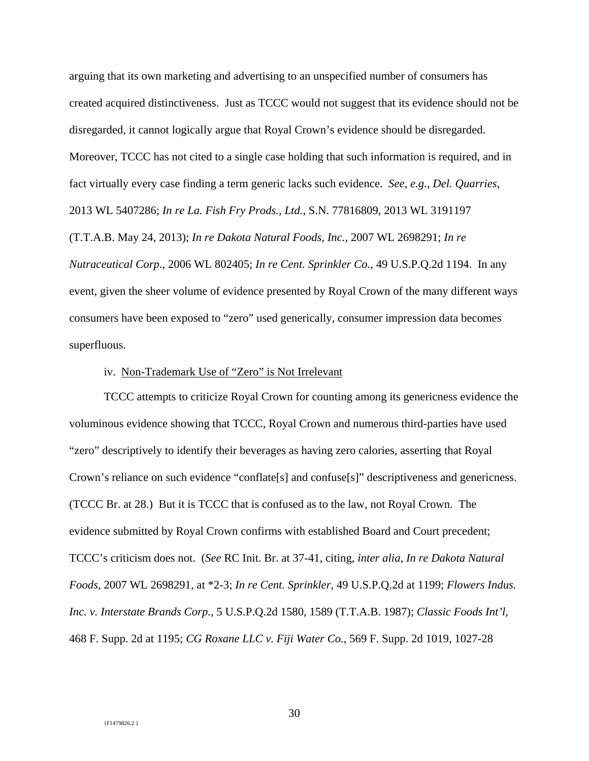arguing that its own marketing and advertising to an unspecified number of consumers has created acquired distinctiveness. Just as TCCC would not suggest that its evidence should not be disregarded, it cannot logically argue that Royal Crown's evidence should be disregarded. Moreover, TCCC has not cited to a single case holding that such information is required, and in fact virtually every case finding a term generic lacks such evidence. *See*, *e.g.*, *Del. Quarries*, 2013 WL 5407286; *In re La. Fish Fry Prods., Ltd.*, S.N. 77816809, 2013 WL 3191197 (T.T.A.B. May 24, 2013); *In re Dakota Natural Foods, Inc.*, 2007 WL 2698291; *In re Nutraceutical Corp.*, 2006 WL 802405; *In re Cent. Sprinkler Co.*, 49 U.S.P.Q.2d 1194. In any event, given the sheer volume of evidence presented by Royal Crown of the many different ways consumers have been exposed to "zero" used generically, consumer impression data becomes superfluous.

## iv. Non-Trademark Use of "Zero" is Not Irrelevant

TCCC attempts to criticize Royal Crown for counting among its genericness evidence the voluminous evidence showing that TCCC, Royal Crown and numerous third-parties have used "zero" descriptively to identify their beverages as having zero calories, asserting that Royal Crown's reliance on such evidence "conflate[s] and confuse[s]" descriptiveness and genericness. (TCCC Br. at 28.) But it is TCCC that is confused as to the law, not Royal Crown. The evidence submitted by Royal Crown confirms with established Board and Court precedent; TCCC's criticism does not. (*See* RC Init. Br. at 37-41, citing, *inter alia*, *In re Dakota Natural Foods*, 2007 WL 2698291, at \*2-3; *In re Cent. Sprinkler*, 49 U.S.P.Q.2d at 1199; *Flowers Indus. Inc. v. Interstate Brands Corp.*, 5 U.S.P.Q.2d 1580, 1589 (T.T.A.B. 1987); *Classic Foods Int'l*, 468 F. Supp. 2d at 1195; *CG Roxane LLC v. Fiji Water Co.*, 569 F. Supp. 2d 1019, 1027-28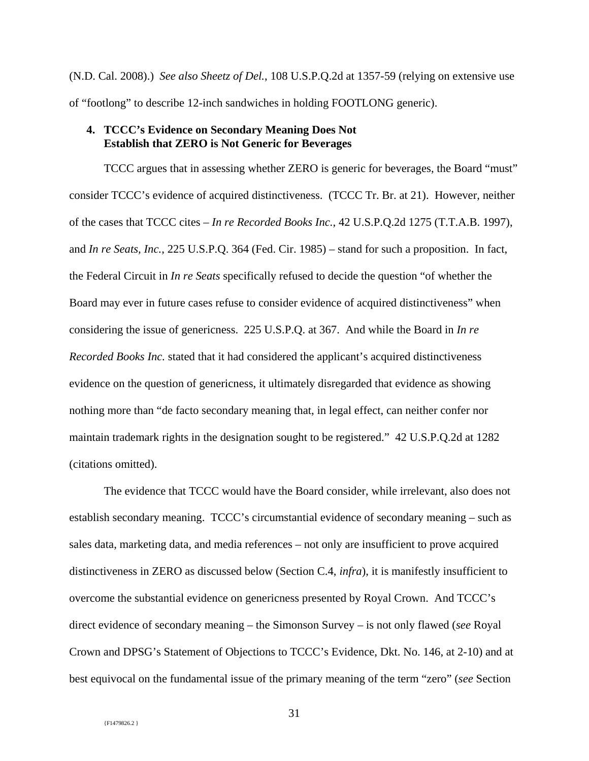(N.D. Cal. 2008).) *See also Sheetz of Del.*, 108 U.S.P.Q.2d at 1357-59 (relying on extensive use of "footlong" to describe 12-inch sandwiches in holding FOOTLONG generic).

## **4. TCCC's Evidence on Secondary Meaning Does Not Establish that ZERO is Not Generic for Beverages**

TCCC argues that in assessing whether ZERO is generic for beverages, the Board "must" consider TCCC's evidence of acquired distinctiveness. (TCCC Tr. Br. at 21). However, neither of the cases that TCCC cites – *In re Recorded Books Inc.*, 42 U.S.P.Q.2d 1275 (T.T.A.B. 1997), and *In re Seats, Inc.*, 225 U.S.P.Q. 364 (Fed. Cir. 1985) – stand for such a proposition. In fact, the Federal Circuit in *In re Seats* specifically refused to decide the question "of whether the Board may ever in future cases refuse to consider evidence of acquired distinctiveness" when considering the issue of genericness. 225 U.S.P.Q. at 367. And while the Board in *In re Recorded Books Inc.* stated that it had considered the applicant's acquired distinctiveness evidence on the question of genericness, it ultimately disregarded that evidence as showing nothing more than "de facto secondary meaning that, in legal effect, can neither confer nor maintain trademark rights in the designation sought to be registered." 42 U.S.P.Q.2d at 1282 (citations omitted).

The evidence that TCCC would have the Board consider, while irrelevant, also does not establish secondary meaning. TCCC's circumstantial evidence of secondary meaning – such as sales data, marketing data, and media references – not only are insufficient to prove acquired distinctiveness in ZERO as discussed below (Section C.4, *infra*), it is manifestly insufficient to overcome the substantial evidence on genericness presented by Royal Crown. And TCCC's direct evidence of secondary meaning – the Simonson Survey – is not only flawed (*see* Royal Crown and DPSG's Statement of Objections to TCCC's Evidence, Dkt. No. 146, at 2-10) and at best equivocal on the fundamental issue of the primary meaning of the term "zero" (*see* Section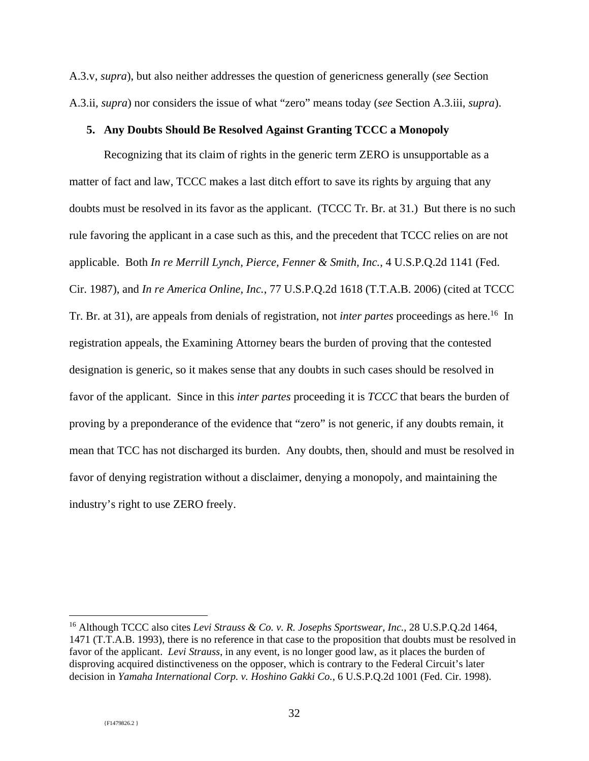A.3.v, *supra*), but also neither addresses the question of genericness generally (*see* Section A.3.ii, *supra*) nor considers the issue of what "zero" means today (*see* Section A.3.iii, *supra*).

## **5. Any Doubts Should Be Resolved Against Granting TCCC a Monopoly**

Recognizing that its claim of rights in the generic term ZERO is unsupportable as a matter of fact and law, TCCC makes a last ditch effort to save its rights by arguing that any doubts must be resolved in its favor as the applicant. (TCCC Tr. Br. at 31.) But there is no such rule favoring the applicant in a case such as this, and the precedent that TCCC relies on are not applicable. Both *In re Merrill Lynch, Pierce, Fenner & Smith, Inc.*, 4 U.S.P.Q.2d 1141 (Fed. Cir. 1987), and *In re America Online, Inc.*, 77 U.S.P.Q.2d 1618 (T.T.A.B. 2006) (cited at TCCC Tr. Br. at 31), are appeals from denials of registration, not *inter partes* proceedings as here.<sup>16</sup> In registration appeals, the Examining Attorney bears the burden of proving that the contested designation is generic, so it makes sense that any doubts in such cases should be resolved in favor of the applicant. Since in this *inter partes* proceeding it is *TCCC* that bears the burden of proving by a preponderance of the evidence that "zero" is not generic, if any doubts remain, it mean that TCC has not discharged its burden. Any doubts, then, should and must be resolved in favor of denying registration without a disclaimer, denying a monopoly, and maintaining the industry's right to use ZERO freely.

<sup>16</sup> Although TCCC also cites *Levi Strauss & Co. v. R. Josephs Sportswear, Inc.*, 28 U.S.P.Q.2d 1464, 1471 (T.T.A.B. 1993), there is no reference in that case to the proposition that doubts must be resolved in favor of the applicant. *Levi Strauss*, in any event, is no longer good law, as it places the burden of disproving acquired distinctiveness on the opposer, which is contrary to the Federal Circuit's later decision in *Yamaha International Corp. v. Hoshino Gakki Co.*, 6 U.S.P.Q.2d 1001 (Fed. Cir. 1998).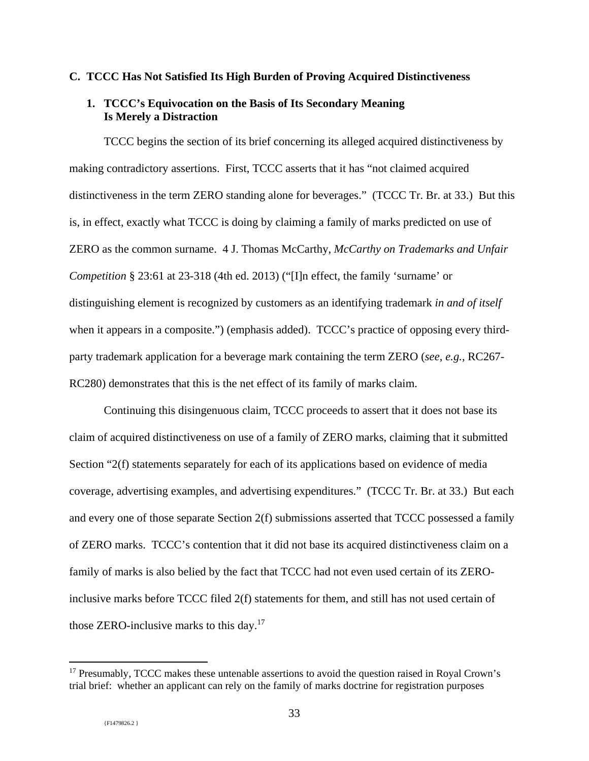### **C. TCCC Has Not Satisfied Its High Burden of Proving Acquired Distinctiveness**

## **1. TCCC's Equivocation on the Basis of Its Secondary Meaning Is Merely a Distraction**

TCCC begins the section of its brief concerning its alleged acquired distinctiveness by making contradictory assertions. First, TCCC asserts that it has "not claimed acquired distinctiveness in the term ZERO standing alone for beverages." (TCCC Tr. Br. at 33.) But this is, in effect, exactly what TCCC is doing by claiming a family of marks predicted on use of ZERO as the common surname. 4 J. Thomas McCarthy, *McCarthy on Trademarks and Unfair Competition* § 23:61 at 23-318 (4th ed. 2013) ("[I]n effect, the family 'surname' or distinguishing element is recognized by customers as an identifying trademark *in and of itself* when it appears in a composite.") (emphasis added). TCCC's practice of opposing every thirdparty trademark application for a beverage mark containing the term ZERO (*see*, *e.g.*, RC267- RC280) demonstrates that this is the net effect of its family of marks claim.

Continuing this disingenuous claim, TCCC proceeds to assert that it does not base its claim of acquired distinctiveness on use of a family of ZERO marks, claiming that it submitted Section "2(f) statements separately for each of its applications based on evidence of media coverage, advertising examples, and advertising expenditures." (TCCC Tr. Br. at 33.) But each and every one of those separate Section 2(f) submissions asserted that TCCC possessed a family of ZERO marks. TCCC's contention that it did not base its acquired distinctiveness claim on a family of marks is also belied by the fact that TCCC had not even used certain of its ZEROinclusive marks before TCCC filed 2(f) statements for them, and still has not used certain of those ZERO-inclusive marks to this day.<sup>17</sup>

-

<sup>&</sup>lt;sup>17</sup> Presumably, TCCC makes these untenable assertions to avoid the question raised in Royal Crown's trial brief: whether an applicant can rely on the family of marks doctrine for registration purposes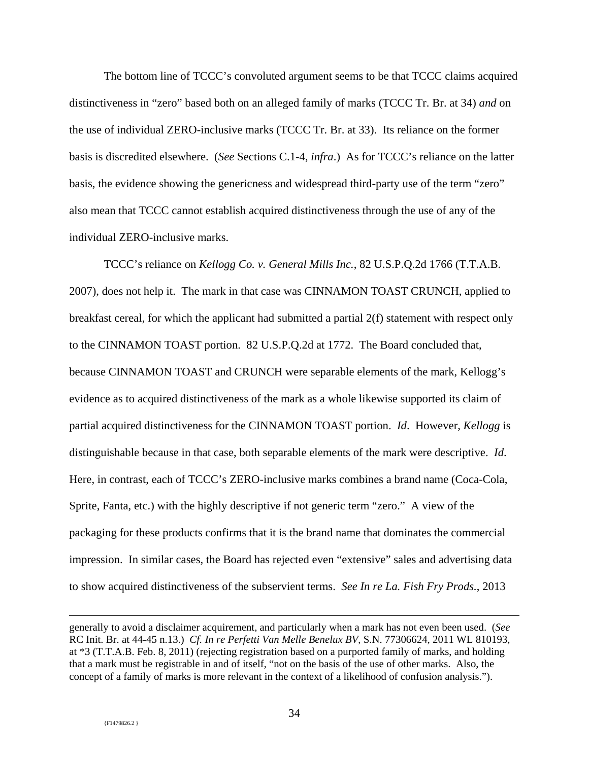The bottom line of TCCC's convoluted argument seems to be that TCCC claims acquired distinctiveness in "zero" based both on an alleged family of marks (TCCC Tr. Br. at 34) *and* on the use of individual ZERO-inclusive marks (TCCC Tr. Br. at 33). Its reliance on the former basis is discredited elsewhere. (*See* Sections C.1-4, *infra*.) As for TCCC's reliance on the latter basis, the evidence showing the genericness and widespread third-party use of the term "zero" also mean that TCCC cannot establish acquired distinctiveness through the use of any of the individual ZERO-inclusive marks.

TCCC's reliance on *Kellogg Co. v. General Mills Inc.*, 82 U.S.P.Q.2d 1766 (T.T.A.B. 2007), does not help it. The mark in that case was CINNAMON TOAST CRUNCH, applied to breakfast cereal, for which the applicant had submitted a partial 2(f) statement with respect only to the CINNAMON TOAST portion. 82 U.S.P.Q.2d at 1772. The Board concluded that, because CINNAMON TOAST and CRUNCH were separable elements of the mark, Kellogg's evidence as to acquired distinctiveness of the mark as a whole likewise supported its claim of partial acquired distinctiveness for the CINNAMON TOAST portion. *Id*. However, *Kellogg* is distinguishable because in that case, both separable elements of the mark were descriptive. *Id*. Here, in contrast, each of TCCC's ZERO-inclusive marks combines a brand name (Coca-Cola, Sprite, Fanta, etc.) with the highly descriptive if not generic term "zero." A view of the packaging for these products confirms that it is the brand name that dominates the commercial impression. In similar cases, the Board has rejected even "extensive" sales and advertising data to show acquired distinctiveness of the subservient terms. *See In re La. Fish Fry Prods.*, 2013

generally to avoid a disclaimer acquirement, and particularly when a mark has not even been used. (*See*  RC Init. Br. at 44-45 n.13.) *Cf. In re Perfetti Van Melle Benelux BV*, S.N. 77306624, 2011 WL 810193, at \*3 (T.T.A.B. Feb. 8, 2011) (rejecting registration based on a purported family of marks, and holding that a mark must be registrable in and of itself, "not on the basis of the use of other marks. Also, the concept of a family of marks is more relevant in the context of a likelihood of confusion analysis.").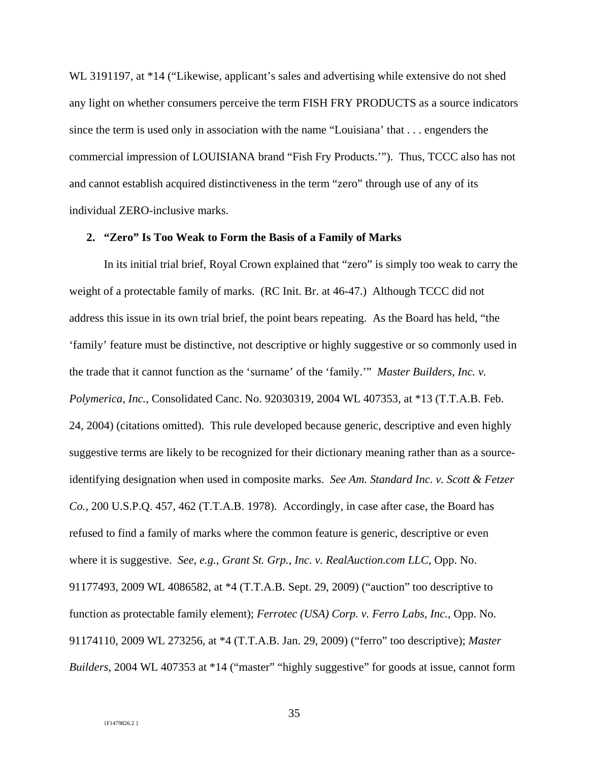WL 3191197, at \*14 ("Likewise, applicant's sales and advertising while extensive do not shed any light on whether consumers perceive the term FISH FRY PRODUCTS as a source indicators since the term is used only in association with the name "Louisiana' that . . . engenders the commercial impression of LOUISIANA brand "Fish Fry Products.'"). Thus, TCCC also has not and cannot establish acquired distinctiveness in the term "zero" through use of any of its individual ZERO-inclusive marks.

## **2. "Zero" Is Too Weak to Form the Basis of a Family of Marks**

In its initial trial brief, Royal Crown explained that "zero" is simply too weak to carry the weight of a protectable family of marks. (RC Init. Br. at 46-47.) Although TCCC did not address this issue in its own trial brief, the point bears repeating. As the Board has held, "the 'family' feature must be distinctive, not descriptive or highly suggestive or so commonly used in the trade that it cannot function as the 'surname' of the 'family.'" *Master Builders, Inc. v. Polymerica, Inc.*, Consolidated Canc. No. 92030319, 2004 WL 407353, at \*13 (T.T.A.B. Feb. 24, 2004) (citations omitted). This rule developed because generic, descriptive and even highly suggestive terms are likely to be recognized for their dictionary meaning rather than as a sourceidentifying designation when used in composite marks. *See Am. Standard Inc. v. Scott & Fetzer Co.*, 200 U.S.P.Q. 457, 462 (T.T.A.B. 1978). Accordingly, in case after case, the Board has refused to find a family of marks where the common feature is generic, descriptive or even where it is suggestive. *See*, *e.g.*, *Grant St. Grp., Inc. v. RealAuction.com LLC*, Opp. No. 91177493, 2009 WL 4086582, at \*4 (T.T.A.B. Sept. 29, 2009) ("auction" too descriptive to function as protectable family element); *Ferrotec (USA) Corp. v. Ferro Labs, Inc.*, Opp. No. 91174110, 2009 WL 273256, at \*4 (T.T.A.B. Jan. 29, 2009) ("ferro" too descriptive); *Master Builders*, 2004 WL 407353 at \*14 ("master" "highly suggestive" for goods at issue, cannot form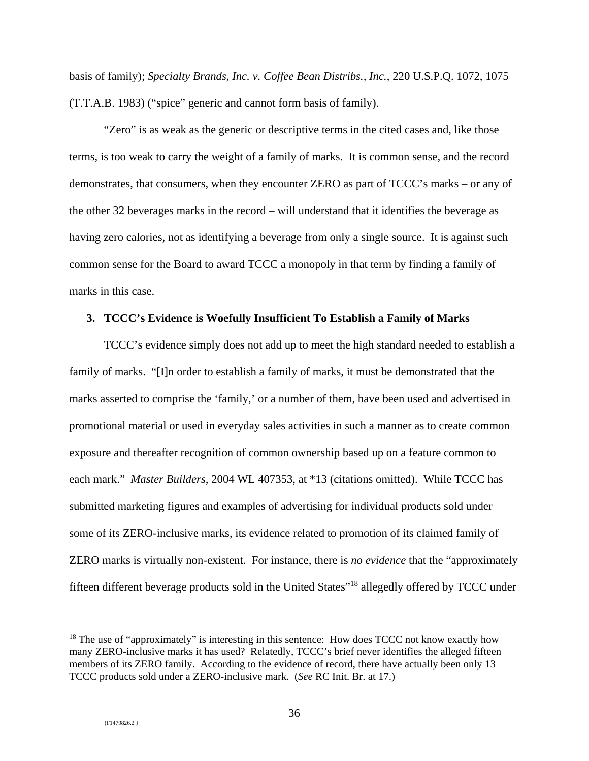basis of family); *Specialty Brands, Inc. v. Coffee Bean Distribs., Inc.*, 220 U.S.P.Q. 1072, 1075 (T.T.A.B. 1983) ("spice" generic and cannot form basis of family).

"Zero" is as weak as the generic or descriptive terms in the cited cases and, like those terms, is too weak to carry the weight of a family of marks. It is common sense, and the record demonstrates, that consumers, when they encounter ZERO as part of TCCC's marks – or any of the other 32 beverages marks in the record – will understand that it identifies the beverage as having zero calories, not as identifying a beverage from only a single source. It is against such common sense for the Board to award TCCC a monopoly in that term by finding a family of marks in this case.

### **3. TCCC's Evidence is Woefully Insufficient To Establish a Family of Marks**

TCCC's evidence simply does not add up to meet the high standard needed to establish a family of marks. "[I]n order to establish a family of marks, it must be demonstrated that the marks asserted to comprise the 'family,' or a number of them, have been used and advertised in promotional material or used in everyday sales activities in such a manner as to create common exposure and thereafter recognition of common ownership based up on a feature common to each mark." *Master Builders*, 2004 WL 407353, at \*13 (citations omitted). While TCCC has submitted marketing figures and examples of advertising for individual products sold under some of its ZERO-inclusive marks, its evidence related to promotion of its claimed family of ZERO marks is virtually non-existent. For instance, there is *no evidence* that the "approximately fifteen different beverage products sold in the United States"<sup>18</sup> allegedly offered by TCCC under

 $18$  The use of "approximately" is interesting in this sentence: How does TCCC not know exactly how many ZERO-inclusive marks it has used? Relatedly, TCCC's brief never identifies the alleged fifteen members of its ZERO family. According to the evidence of record, there have actually been only 13 TCCC products sold under a ZERO-inclusive mark. (*See* RC Init. Br. at 17.)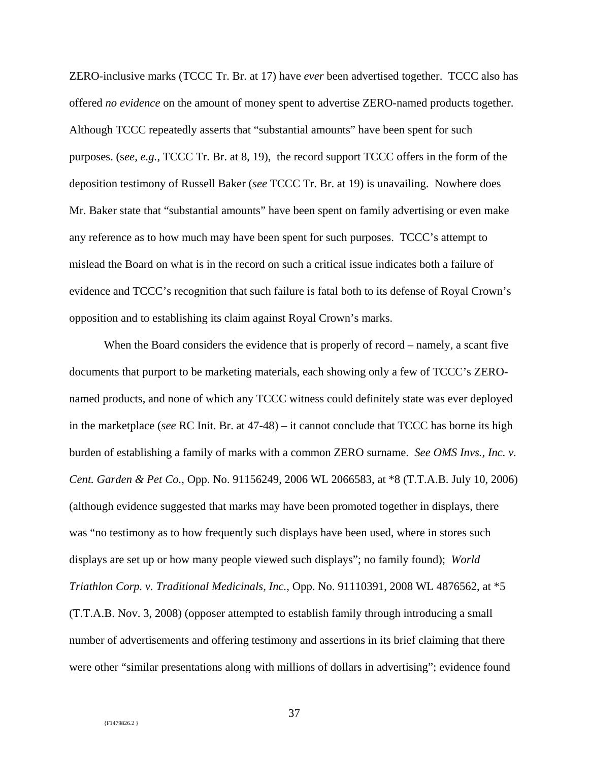ZERO-inclusive marks (TCCC Tr. Br. at 17) have *ever* been advertised together. TCCC also has offered *no evidence* on the amount of money spent to advertise ZERO-named products together. Although TCCC repeatedly asserts that "substantial amounts" have been spent for such purposes. (s*ee*, *e.g.*, TCCC Tr. Br. at 8, 19), the record support TCCC offers in the form of the deposition testimony of Russell Baker (*see* TCCC Tr. Br. at 19) is unavailing. Nowhere does Mr. Baker state that "substantial amounts" have been spent on family advertising or even make any reference as to how much may have been spent for such purposes. TCCC's attempt to mislead the Board on what is in the record on such a critical issue indicates both a failure of evidence and TCCC's recognition that such failure is fatal both to its defense of Royal Crown's opposition and to establishing its claim against Royal Crown's marks.

When the Board considers the evidence that is properly of record – namely, a scant five documents that purport to be marketing materials, each showing only a few of TCCC's ZEROnamed products, and none of which any TCCC witness could definitely state was ever deployed in the marketplace (*see* RC Init. Br. at 47-48) – it cannot conclude that TCCC has borne its high burden of establishing a family of marks with a common ZERO surname. *See OMS Invs., Inc. v. Cent. Garden & Pet Co.*, Opp. No. 91156249, 2006 WL 2066583, at \*8 (T.T.A.B. July 10, 2006) (although evidence suggested that marks may have been promoted together in displays, there was "no testimony as to how frequently such displays have been used, where in stores such displays are set up or how many people viewed such displays"; no family found); *World Triathlon Corp. v. Traditional Medicinals, Inc.*, Opp. No. 91110391, 2008 WL 4876562, at \*5 (T.T.A.B. Nov. 3, 2008) (opposer attempted to establish family through introducing a small number of advertisements and offering testimony and assertions in its brief claiming that there were other "similar presentations along with millions of dollars in advertising"; evidence found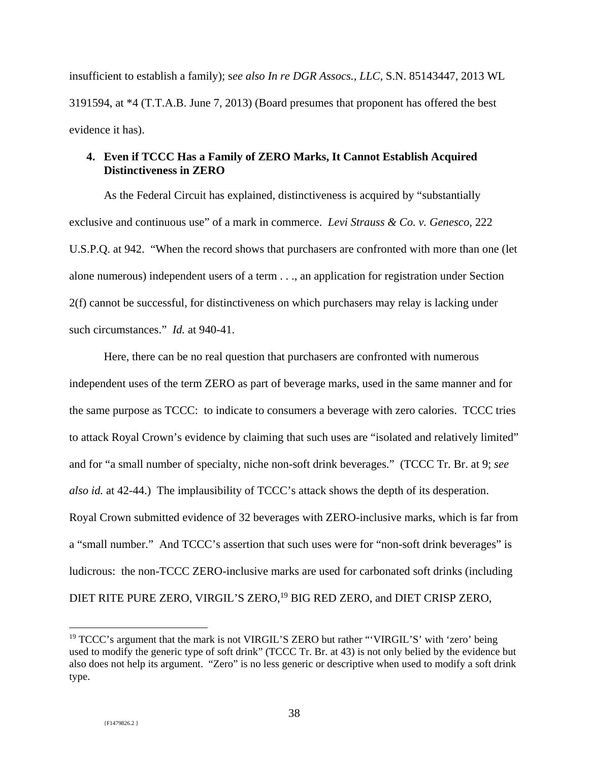insufficient to establish a family); s*ee also In re DGR Assocs., LLC*, S.N. 85143447, 2013 WL 3191594, at \*4 (T.T.A.B. June 7, 2013) (Board presumes that proponent has offered the best evidence it has).

## **4. Even if TCCC Has a Family of ZERO Marks, It Cannot Establish Acquired Distinctiveness in ZERO**

As the Federal Circuit has explained, distinctiveness is acquired by "substantially exclusive and continuous use" of a mark in commerce. *Levi Strauss & Co. v. Genesco*, 222 U.S.P.Q. at 942. "When the record shows that purchasers are confronted with more than one (let alone numerous) independent users of a term . . ., an application for registration under Section 2(f) cannot be successful, for distinctiveness on which purchasers may relay is lacking under such circumstances." *Id.* at 940-41.

Here, there can be no real question that purchasers are confronted with numerous independent uses of the term ZERO as part of beverage marks, used in the same manner and for the same purpose as TCCC: to indicate to consumers a beverage with zero calories. TCCC tries to attack Royal Crown's evidence by claiming that such uses are "isolated and relatively limited" and for "a small number of specialty, niche non-soft drink beverages." (TCCC Tr. Br. at 9; *see also id.* at 42-44.) The implausibility of TCCC's attack shows the depth of its desperation. Royal Crown submitted evidence of 32 beverages with ZERO-inclusive marks, which is far from a "small number." And TCCC's assertion that such uses were for "non-soft drink beverages" is ludicrous: the non-TCCC ZERO-inclusive marks are used for carbonated soft drinks (including DIET RITE PURE ZERO, VIRGIL'S ZERO,<sup>19</sup> BIG RED ZERO, and DIET CRISP ZERO,

 $19$  TCCC's argument that the mark is not VIRGIL'S ZERO but rather "'VIRGIL'S' with 'zero' being used to modify the generic type of soft drink" (TCCC Tr. Br. at 43) is not only belied by the evidence but also does not help its argument. "Zero" is no less generic or descriptive when used to modify a soft drink type.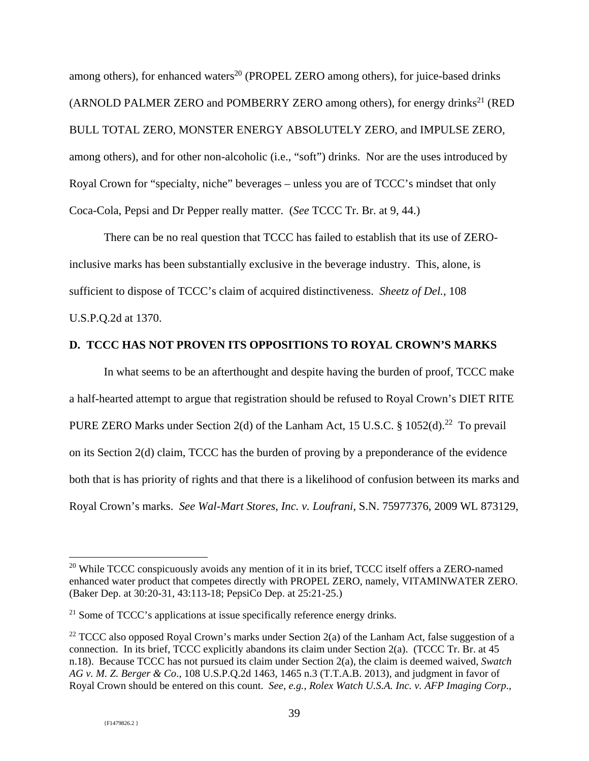among others), for enhanced waters<sup>20</sup> (PROPEL ZERO among others), for juice-based drinks (ARNOLD PALMER ZERO and POMBERRY ZERO among others), for energy drinks<sup>21</sup> (RED) BULL TOTAL ZERO, MONSTER ENERGY ABSOLUTELY ZERO, and IMPULSE ZERO, among others), and for other non-alcoholic (i.e., "soft") drinks. Nor are the uses introduced by Royal Crown for "specialty, niche" beverages – unless you are of TCCC's mindset that only Coca-Cola, Pepsi and Dr Pepper really matter. (*See* TCCC Tr. Br. at 9, 44.)

There can be no real question that TCCC has failed to establish that its use of ZEROinclusive marks has been substantially exclusive in the beverage industry. This, alone, is sufficient to dispose of TCCC's claim of acquired distinctiveness. *Sheetz of Del.*, 108 U.S.P.Q.2d at 1370.

### **D. TCCC HAS NOT PROVEN ITS OPPOSITIONS TO ROYAL CROWN'S MARKS**

In what seems to be an afterthought and despite having the burden of proof, TCCC make a half-hearted attempt to argue that registration should be refused to Royal Crown's DIET RITE PURE ZERO Marks under Section 2(d) of the Lanham Act, 15 U.S.C.  $\S$  1052(d).<sup>22</sup> To prevail on its Section 2(d) claim, TCCC has the burden of proving by a preponderance of the evidence both that is has priority of rights and that there is a likelihood of confusion between its marks and Royal Crown's marks. *See Wal-Mart Stores, Inc. v. Loufrani*, S.N. 75977376, 2009 WL 873129,

 $20$  While TCCC conspicuously avoids any mention of it in its brief, TCCC itself offers a ZERO-named enhanced water product that competes directly with PROPEL ZERO, namely, VITAMINWATER ZERO. (Baker Dep. at 30:20-31, 43:113-18; PepsiCo Dep. at 25:21-25.)

 $21$  Some of TCCC's applications at issue specifically reference energy drinks.

<sup>&</sup>lt;sup>22</sup> TCCC also opposed Royal Crown's marks under Section  $2(a)$  of the Lanham Act, false suggestion of a connection. In its brief, TCCC explicitly abandons its claim under Section 2(a). (TCCC Tr. Br. at  $45$ n.18). Because TCCC has not pursued its claim under Section 2(a), the claim is deemed waived, *Swatch AG v. M. Z. Berger & Co*., 108 U.S.P.Q.2d 1463, 1465 n.3 (T.T.A.B. 2013), and judgment in favor of Royal Crown should be entered on this count. *See*, *e.g.*, *Rolex Watch U.S.A. Inc. v. AFP Imaging Corp*.,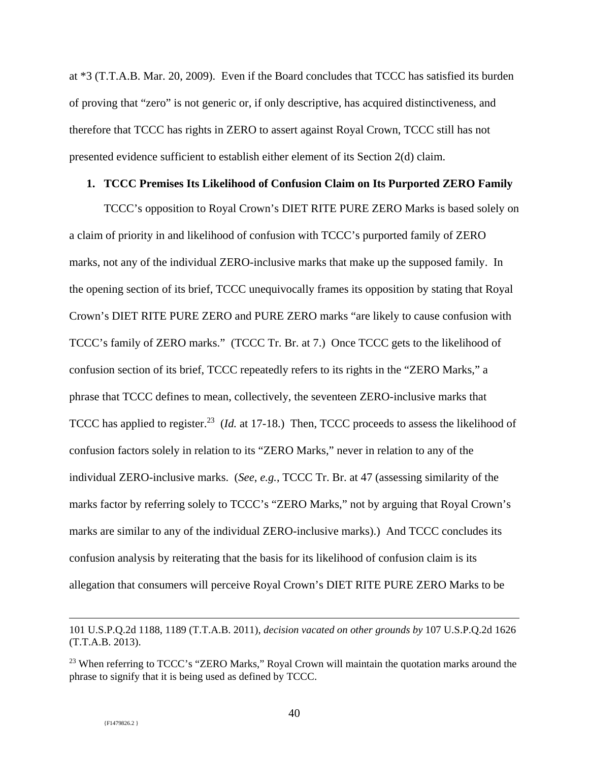at \*3 (T.T.A.B. Mar. 20, 2009). Even if the Board concludes that TCCC has satisfied its burden of proving that "zero" is not generic or, if only descriptive, has acquired distinctiveness, and therefore that TCCC has rights in ZERO to assert against Royal Crown, TCCC still has not presented evidence sufficient to establish either element of its Section 2(d) claim.

### **1. TCCC Premises Its Likelihood of Confusion Claim on Its Purported ZERO Family**

TCCC's opposition to Royal Crown's DIET RITE PURE ZERO Marks is based solely on a claim of priority in and likelihood of confusion with TCCC's purported family of ZERO marks, not any of the individual ZERO-inclusive marks that make up the supposed family. In the opening section of its brief, TCCC unequivocally frames its opposition by stating that Royal Crown's DIET RITE PURE ZERO and PURE ZERO marks "are likely to cause confusion with TCCC's family of ZERO marks." (TCCC Tr. Br. at 7.) Once TCCC gets to the likelihood of confusion section of its brief, TCCC repeatedly refers to its rights in the "ZERO Marks," a phrase that TCCC defines to mean, collectively, the seventeen ZERO-inclusive marks that TCCC has applied to register.<sup>23</sup> (*Id.* at 17-18.) Then, TCCC proceeds to assess the likelihood of confusion factors solely in relation to its "ZERO Marks," never in relation to any of the individual ZERO-inclusive marks. (*See*, *e.g.*, TCCC Tr. Br. at 47 (assessing similarity of the marks factor by referring solely to TCCC's "ZERO Marks," not by arguing that Royal Crown's marks are similar to any of the individual ZERO-inclusive marks).) And TCCC concludes its confusion analysis by reiterating that the basis for its likelihood of confusion claim is its allegation that consumers will perceive Royal Crown's DIET RITE PURE ZERO Marks to be

<sup>101</sup> U.S.P.Q.2d 1188, 1189 (T.T.A.B. 2011), *decision vacated on other grounds by* 107 U.S.P.Q.2d 1626 (T.T.A.B. 2013).

<sup>&</sup>lt;sup>23</sup> When referring to TCCC's "ZERO Marks," Royal Crown will maintain the quotation marks around the phrase to signify that it is being used as defined by TCCC.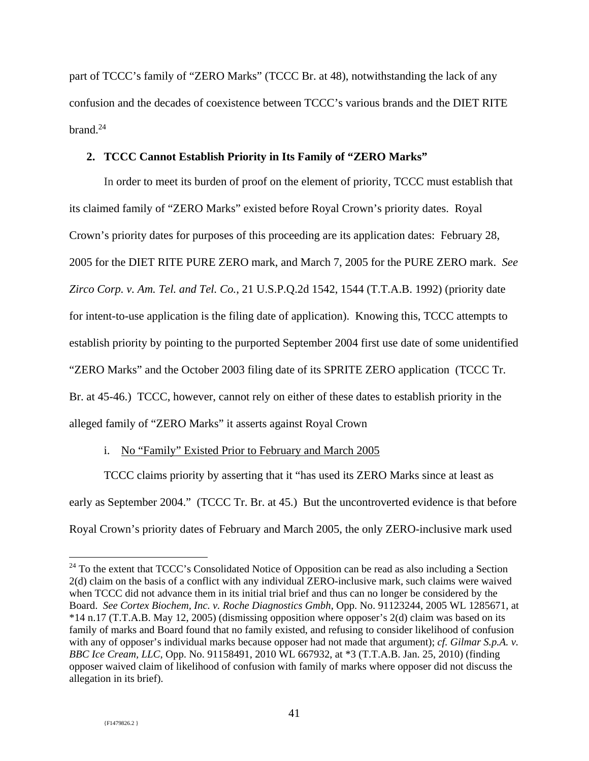part of TCCC's family of "ZERO Marks" (TCCC Br. at 48), notwithstanding the lack of any confusion and the decades of coexistence between TCCC's various brands and the DIET RITE brand. $24$ 

### **2. TCCC Cannot Establish Priority in Its Family of "ZERO Marks"**

In order to meet its burden of proof on the element of priority, TCCC must establish that its claimed family of "ZERO Marks" existed before Royal Crown's priority dates. Royal Crown's priority dates for purposes of this proceeding are its application dates: February 28, 2005 for the DIET RITE PURE ZERO mark, and March 7, 2005 for the PURE ZERO mark. *See Zirco Corp. v. Am. Tel. and Tel. Co.*, 21 U.S.P.Q.2d 1542, 1544 (T.T.A.B. 1992) (priority date for intent-to-use application is the filing date of application). Knowing this, TCCC attempts to establish priority by pointing to the purported September 2004 first use date of some unidentified "ZERO Marks" and the October 2003 filing date of its SPRITE ZERO application (TCCC Tr. Br. at 45-46.) TCCC, however, cannot rely on either of these dates to establish priority in the alleged family of "ZERO Marks" it asserts against Royal Crown

## i. No "Family" Existed Prior to February and March 2005

TCCC claims priority by asserting that it "has used its ZERO Marks since at least as early as September 2004." (TCCC Tr. Br. at 45.) But the uncontroverted evidence is that before Royal Crown's priority dates of February and March 2005, the only ZERO-inclusive mark used

<sup>&</sup>lt;sup>24</sup> To the extent that TCCC's Consolidated Notice of Opposition can be read as also including a Section 2(d) claim on the basis of a conflict with any individual ZERO-inclusive mark, such claims were waived when TCCC did not advance them in its initial trial brief and thus can no longer be considered by the Board. *See Cortex Biochem, Inc. v. Roche Diagnostics Gmbh*, Opp. No. 91123244, 2005 WL 1285671, at \*14 n.17 (T.T.A.B. May 12, 2005) (dismissing opposition where opposer's 2(d) claim was based on its family of marks and Board found that no family existed, and refusing to consider likelihood of confusion with any of opposer's individual marks because opposer had not made that argument); *cf. Gilmar S.p.A. v. BBC Ice Cream, LLC*, Opp. No. 91158491, 2010 WL 667932, at \*3 (T.T.A.B. Jan. 25, 2010) (finding opposer waived claim of likelihood of confusion with family of marks where opposer did not discuss the allegation in its brief).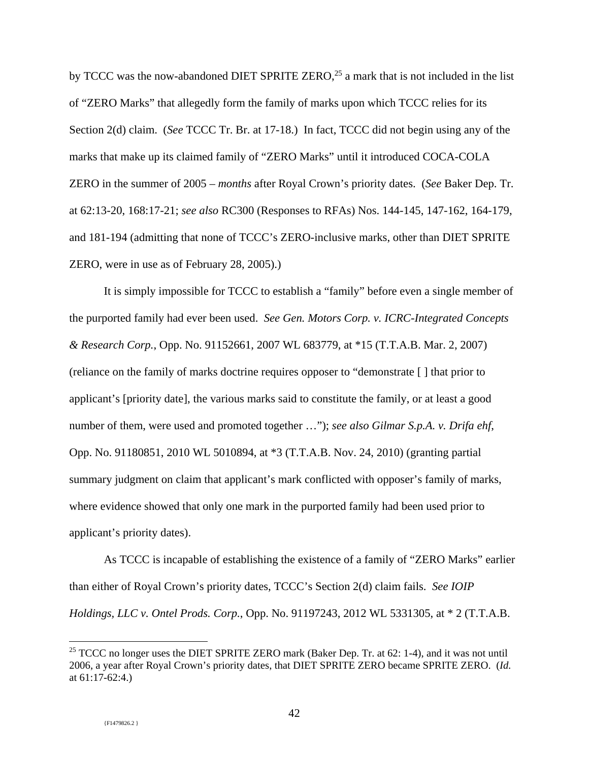by TCCC was the now-abandoned DIET SPRITE ZERO,<sup>25</sup> a mark that is not included in the list of "ZERO Marks" that allegedly form the family of marks upon which TCCC relies for its Section 2(d) claim. (*See* TCCC Tr. Br. at 17-18.) In fact, TCCC did not begin using any of the marks that make up its claimed family of "ZERO Marks" until it introduced COCA-COLA ZERO in the summer of 2005 – *months* after Royal Crown's priority dates. (*See* Baker Dep. Tr. at 62:13-20, 168:17-21; *see also* RC300 (Responses to RFAs) Nos. 144-145, 147-162, 164-179, and 181-194 (admitting that none of TCCC's ZERO-inclusive marks, other than DIET SPRITE ZERO, were in use as of February 28, 2005).)

It is simply impossible for TCCC to establish a "family" before even a single member of the purported family had ever been used. *See Gen. Motors Corp. v. ICRC-Integrated Concepts & Research Corp.*, Opp. No. 91152661, 2007 WL 683779, at \*15 (T.T.A.B. Mar. 2, 2007) (reliance on the family of marks doctrine requires opposer to "demonstrate [ ] that prior to applicant's [priority date], the various marks said to constitute the family, or at least a good number of them, were used and promoted together …"); *see also Gilmar S.p.A. v. Drifa ehf*, Opp. No. 91180851, 2010 WL 5010894, at \*3 (T.T.A.B. Nov. 24, 2010) (granting partial summary judgment on claim that applicant's mark conflicted with opposer's family of marks, where evidence showed that only one mark in the purported family had been used prior to applicant's priority dates).

 As TCCC is incapable of establishing the existence of a family of "ZERO Marks" earlier than either of Royal Crown's priority dates, TCCC's Section 2(d) claim fails. *See IOIP Holdings, LLC v. Ontel Prods. Corp.*, Opp. No. 91197243, 2012 WL 5331305, at \* 2 (T.T.A.B.

<sup>&</sup>lt;sup>25</sup> TCCC no longer uses the DIET SPRITE ZERO mark (Baker Dep. Tr. at 62: 1-4), and it was not until 2006, a year after Royal Crown's priority dates, that DIET SPRITE ZERO became SPRITE ZERO. (*Id.* at 61:17-62:4.)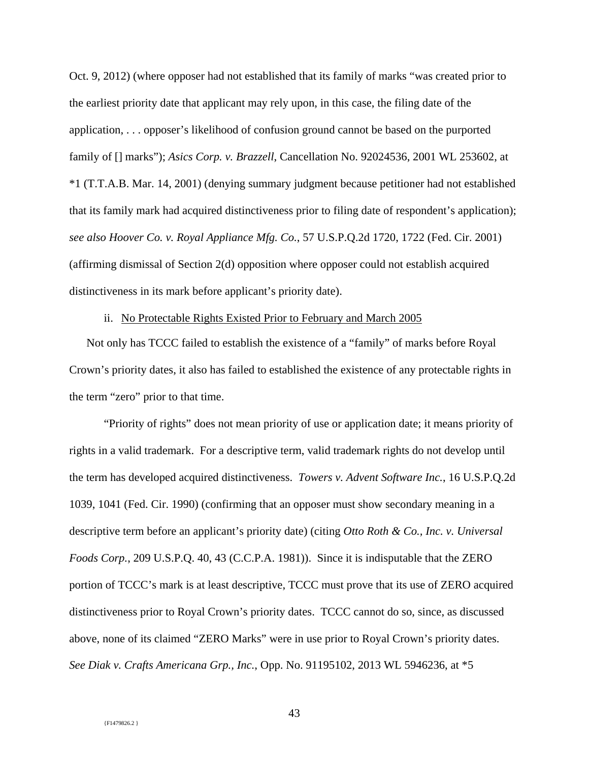Oct. 9, 2012) (where opposer had not established that its family of marks "was created prior to the earliest priority date that applicant may rely upon, in this case, the filing date of the application, . . . opposer's likelihood of confusion ground cannot be based on the purported family of [] marks"); *Asics Corp. v. Brazzell*, Cancellation No. 92024536, 2001 WL 253602, at \*1 (T.T.A.B. Mar. 14, 2001) (denying summary judgment because petitioner had not established that its family mark had acquired distinctiveness prior to filing date of respondent's application); *see also Hoover Co. v. Royal Appliance Mfg. Co.*, 57 U.S.P.Q.2d 1720, 1722 (Fed. Cir. 2001) (affirming dismissal of Section 2(d) opposition where opposer could not establish acquired distinctiveness in its mark before applicant's priority date).

### ii. No Protectable Rights Existed Prior to February and March 2005

Not only has TCCC failed to establish the existence of a "family" of marks before Royal Crown's priority dates, it also has failed to established the existence of any protectable rights in the term "zero" prior to that time.

"Priority of rights" does not mean priority of use or application date; it means priority of rights in a valid trademark. For a descriptive term, valid trademark rights do not develop until the term has developed acquired distinctiveness. *Towers v. Advent Software Inc.*, 16 U.S.P.Q.2d 1039, 1041 (Fed. Cir. 1990) (confirming that an opposer must show secondary meaning in a descriptive term before an applicant's priority date) (citing *Otto Roth & Co., Inc. v. Universal Foods Corp.*, 209 U.S.P.Q. 40, 43 (C.C.P.A. 1981)). Since it is indisputable that the ZERO portion of TCCC's mark is at least descriptive, TCCC must prove that its use of ZERO acquired distinctiveness prior to Royal Crown's priority dates. TCCC cannot do so, since, as discussed above, none of its claimed "ZERO Marks" were in use prior to Royal Crown's priority dates. *See Diak v. Crafts Americana Grp., Inc.*, Opp. No. 91195102, 2013 WL 5946236, at \*5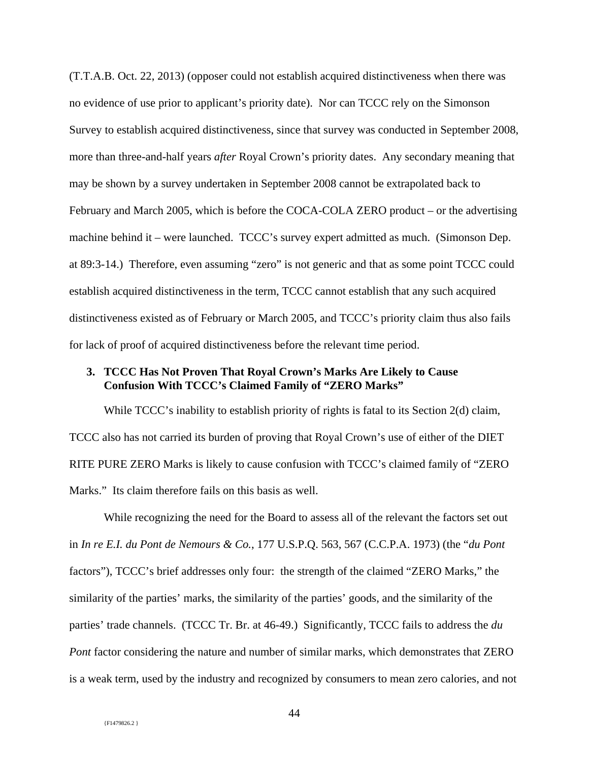(T.T.A.B. Oct. 22, 2013) (opposer could not establish acquired distinctiveness when there was no evidence of use prior to applicant's priority date). Nor can TCCC rely on the Simonson Survey to establish acquired distinctiveness, since that survey was conducted in September 2008, more than three-and-half years *after* Royal Crown's priority dates. Any secondary meaning that may be shown by a survey undertaken in September 2008 cannot be extrapolated back to February and March 2005, which is before the COCA-COLA ZERO product – or the advertising machine behind it – were launched. TCCC's survey expert admitted as much. (Simonson Dep. at 89:3-14.) Therefore, even assuming "zero" is not generic and that as some point TCCC could establish acquired distinctiveness in the term, TCCC cannot establish that any such acquired distinctiveness existed as of February or March 2005, and TCCC's priority claim thus also fails for lack of proof of acquired distinctiveness before the relevant time period.

## **3. TCCC Has Not Proven That Royal Crown's Marks Are Likely to Cause Confusion With TCCC's Claimed Family of "ZERO Marks"**

While TCCC's inability to establish priority of rights is fatal to its Section 2(d) claim, TCCC also has not carried its burden of proving that Royal Crown's use of either of the DIET RITE PURE ZERO Marks is likely to cause confusion with TCCC's claimed family of "ZERO Marks." Its claim therefore fails on this basis as well.

While recognizing the need for the Board to assess all of the relevant the factors set out in *In re E.I. du Pont de Nemours & Co.*, 177 U.S.P.Q. 563, 567 (C.C.P.A. 1973) (the "*du Pont* factors"), TCCC's brief addresses only four: the strength of the claimed "ZERO Marks," the similarity of the parties' marks, the similarity of the parties' goods, and the similarity of the parties' trade channels. (TCCC Tr. Br. at 46-49.) Significantly, TCCC fails to address the *du Pont* factor considering the nature and number of similar marks, which demonstrates that ZERO is a weak term, used by the industry and recognized by consumers to mean zero calories, and not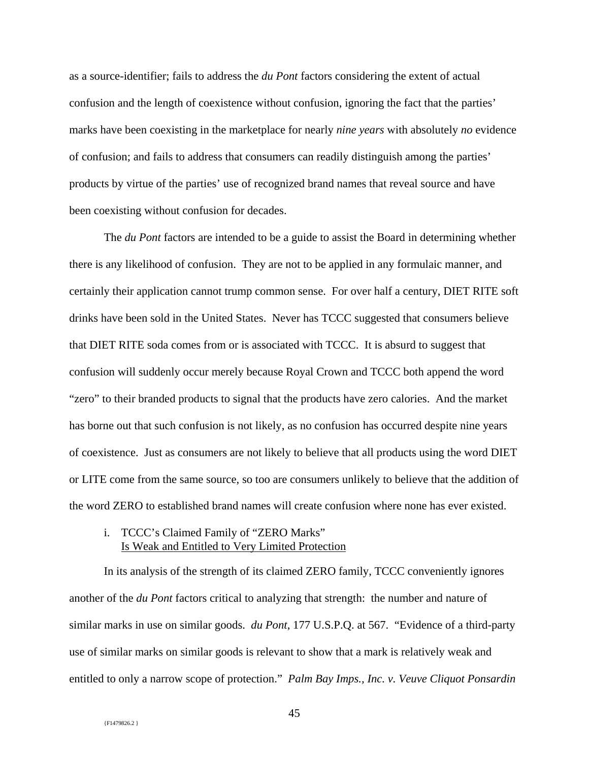as a source-identifier; fails to address the *du Pont* factors considering the extent of actual confusion and the length of coexistence without confusion, ignoring the fact that the parties' marks have been coexisting in the marketplace for nearly *nine years* with absolutely *no* evidence of confusion; and fails to address that consumers can readily distinguish among the parties' products by virtue of the parties' use of recognized brand names that reveal source and have been coexisting without confusion for decades.

The *du Pont* factors are intended to be a guide to assist the Board in determining whether there is any likelihood of confusion. They are not to be applied in any formulaic manner, and certainly their application cannot trump common sense. For over half a century, DIET RITE soft drinks have been sold in the United States. Never has TCCC suggested that consumers believe that DIET RITE soda comes from or is associated with TCCC. It is absurd to suggest that confusion will suddenly occur merely because Royal Crown and TCCC both append the word "zero" to their branded products to signal that the products have zero calories. And the market has borne out that such confusion is not likely, as no confusion has occurred despite nine years of coexistence. Just as consumers are not likely to believe that all products using the word DIET or LITE come from the same source, so too are consumers unlikely to believe that the addition of the word ZERO to established brand names will create confusion where none has ever existed.

## i. TCCC's Claimed Family of "ZERO Marks" Is Weak and Entitled to Very Limited Protection

In its analysis of the strength of its claimed ZERO family, TCCC conveniently ignores another of the *du Pont* factors critical to analyzing that strength: the number and nature of similar marks in use on similar goods. *du Pont*, 177 U.S.P.Q. at 567. "Evidence of a third-party use of similar marks on similar goods is relevant to show that a mark is relatively weak and entitled to only a narrow scope of protection." *Palm Bay Imps., Inc. v. Veuve Cliquot Ponsardin*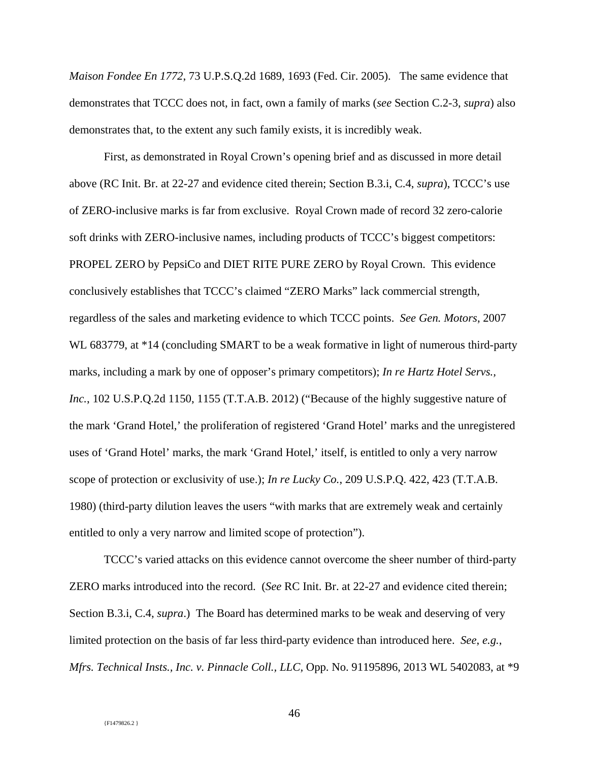*Maison Fondee En 1772*, 73 U.P.S.Q.2d 1689, 1693 (Fed. Cir. 2005). The same evidence that demonstrates that TCCC does not, in fact, own a family of marks (*see* Section C.2-3, *supra*) also demonstrates that, to the extent any such family exists, it is incredibly weak.

First, as demonstrated in Royal Crown's opening brief and as discussed in more detail above (RC Init. Br. at 22-27 and evidence cited therein; Section B.3.i, C.4, *supra*), TCCC's use of ZERO-inclusive marks is far from exclusive. Royal Crown made of record 32 zero-calorie soft drinks with ZERO-inclusive names, including products of TCCC's biggest competitors: PROPEL ZERO by PepsiCo and DIET RITE PURE ZERO by Royal Crown. This evidence conclusively establishes that TCCC's claimed "ZERO Marks" lack commercial strength, regardless of the sales and marketing evidence to which TCCC points. *See Gen. Motors*, 2007 WL 683779, at \*14 (concluding SMART to be a weak formative in light of numerous third-party marks, including a mark by one of opposer's primary competitors); *In re Hartz Hotel Servs., Inc.*, 102 U.S.P.Q.2d 1150, 1155 (T.T.A.B. 2012) ("Because of the highly suggestive nature of the mark 'Grand Hotel,' the proliferation of registered 'Grand Hotel' marks and the unregistered uses of 'Grand Hotel' marks, the mark 'Grand Hotel,' itself, is entitled to only a very narrow scope of protection or exclusivity of use.); *In re Lucky Co.*, 209 U.S.P.Q. 422, 423 (T.T.A.B. 1980) (third-party dilution leaves the users "with marks that are extremely weak and certainly entitled to only a very narrow and limited scope of protection").

TCCC's varied attacks on this evidence cannot overcome the sheer number of third-party ZERO marks introduced into the record. (*See* RC Init. Br. at 22-27 and evidence cited therein; Section B.3.i, C.4, *supra*.) The Board has determined marks to be weak and deserving of very limited protection on the basis of far less third-party evidence than introduced here. *See*, *e.g.*, *Mfrs. Technical Insts., Inc. v. Pinnacle Coll., LLC,* Opp. No. 91195896, 2013 WL 5402083, at \*9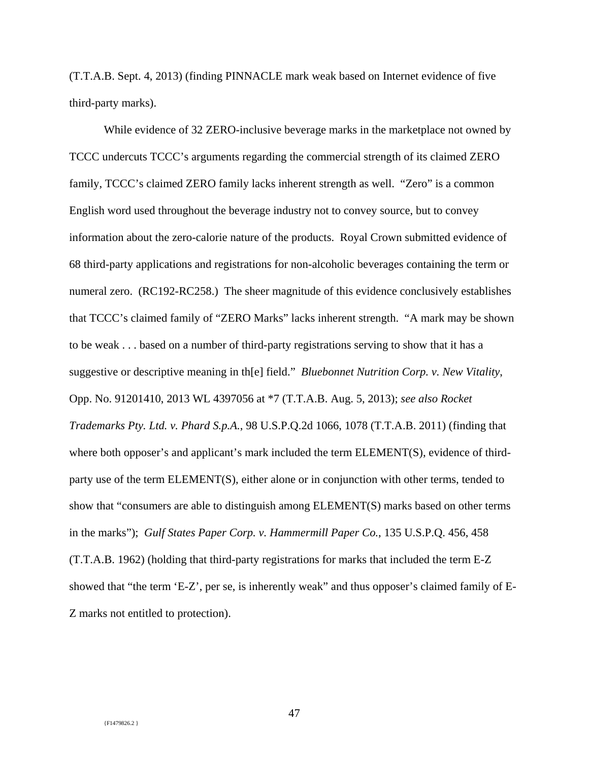(T.T.A.B. Sept. 4, 2013) (finding PINNACLE mark weak based on Internet evidence of five third-party marks).

While evidence of 32 ZERO-inclusive beverage marks in the marketplace not owned by TCCC undercuts TCCC's arguments regarding the commercial strength of its claimed ZERO family, TCCC's claimed ZERO family lacks inherent strength as well. "Zero" is a common English word used throughout the beverage industry not to convey source, but to convey information about the zero-calorie nature of the products. Royal Crown submitted evidence of 68 third-party applications and registrations for non-alcoholic beverages containing the term or numeral zero. (RC192-RC258.) The sheer magnitude of this evidence conclusively establishes that TCCC's claimed family of "ZERO Marks" lacks inherent strength. "A mark may be shown to be weak . . . based on a number of third-party registrations serving to show that it has a suggestive or descriptive meaning in th[e] field." *Bluebonnet Nutrition Corp. v. New Vitality*, Opp. No. 91201410, 2013 WL 4397056 at \*7 (T.T.A.B. Aug. 5, 2013); *see also Rocket Trademarks Pty. Ltd. v. Phard S.p.A.*, 98 U.S.P.Q.2d 1066, 1078 (T.T.A.B. 2011) (finding that where both opposer's and applicant's mark included the term ELEMENT(S), evidence of thirdparty use of the term ELEMENT(S), either alone or in conjunction with other terms, tended to show that "consumers are able to distinguish among ELEMENT(S) marks based on other terms in the marks"); *Gulf States Paper Corp. v. Hammermill Paper Co.*, 135 U.S.P.Q. 456, 458 (T.T.A.B. 1962) (holding that third-party registrations for marks that included the term E-Z showed that "the term 'E-Z', per se, is inherently weak" and thus opposer's claimed family of E-Z marks not entitled to protection).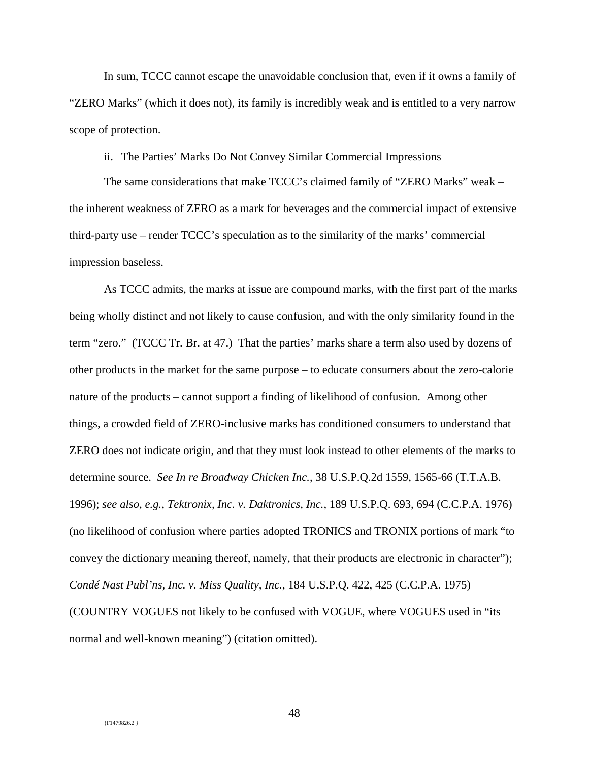In sum, TCCC cannot escape the unavoidable conclusion that, even if it owns a family of "ZERO Marks" (which it does not), its family is incredibly weak and is entitled to a very narrow scope of protection.

## ii. The Parties' Marks Do Not Convey Similar Commercial Impressions

The same considerations that make TCCC's claimed family of "ZERO Marks" weak – the inherent weakness of ZERO as a mark for beverages and the commercial impact of extensive third-party use – render TCCC's speculation as to the similarity of the marks' commercial impression baseless.

As TCCC admits, the marks at issue are compound marks, with the first part of the marks being wholly distinct and not likely to cause confusion, and with the only similarity found in the term "zero." (TCCC Tr. Br. at 47.) That the parties' marks share a term also used by dozens of other products in the market for the same purpose – to educate consumers about the zero-calorie nature of the products – cannot support a finding of likelihood of confusion. Among other things, a crowded field of ZERO-inclusive marks has conditioned consumers to understand that ZERO does not indicate origin, and that they must look instead to other elements of the marks to determine source. *See In re Broadway Chicken Inc.*, 38 U.S.P.Q.2d 1559, 1565-66 (T.T.A.B. 1996); *see also*, *e.g.*, *Tektronix, Inc. v. Daktronics, Inc.*, 189 U.S.P.Q. 693, 694 (C.C.P.A. 1976) (no likelihood of confusion where parties adopted TRONICS and TRONIX portions of mark "to convey the dictionary meaning thereof, namely, that their products are electronic in character"); *Condé Nast Publ'ns, Inc. v. Miss Quality, Inc.*, 184 U.S.P.Q. 422, 425 (C.C.P.A. 1975) (COUNTRY VOGUES not likely to be confused with VOGUE, where VOGUES used in "its normal and well-known meaning") (citation omitted).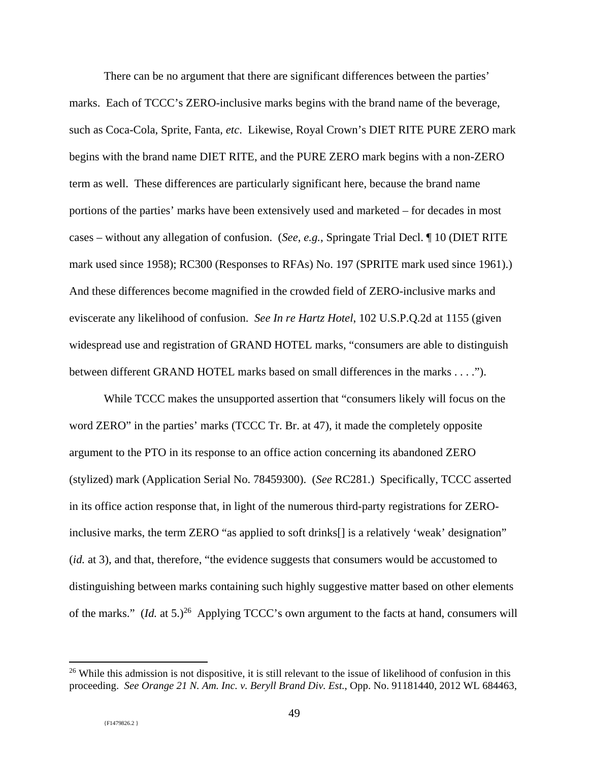There can be no argument that there are significant differences between the parties' marks. Each of TCCC's ZERO-inclusive marks begins with the brand name of the beverage, such as Coca-Cola, Sprite, Fanta, *etc*. Likewise, Royal Crown's DIET RITE PURE ZERO mark begins with the brand name DIET RITE, and the PURE ZERO mark begins with a non-ZERO term as well. These differences are particularly significant here, because the brand name portions of the parties' marks have been extensively used and marketed – for decades in most cases – without any allegation of confusion. (*See*, *e.g.*, Springate Trial Decl. ¶ 10 (DIET RITE mark used since 1958); RC300 (Responses to RFAs) No. 197 (SPRITE mark used since 1961).) And these differences become magnified in the crowded field of ZERO-inclusive marks and eviscerate any likelihood of confusion. *See In re Hartz Hotel*, 102 U.S.P.Q.2d at 1155 (given widespread use and registration of GRAND HOTEL marks, "consumers are able to distinguish between different GRAND HOTEL marks based on small differences in the marks . . . .").

While TCCC makes the unsupported assertion that "consumers likely will focus on the word ZERO" in the parties' marks (TCCC Tr. Br. at 47), it made the completely opposite argument to the PTO in its response to an office action concerning its abandoned ZERO (stylized) mark (Application Serial No. 78459300). (*See* RC281.) Specifically, TCCC asserted in its office action response that, in light of the numerous third-party registrations for ZEROinclusive marks, the term ZERO "as applied to soft drinks[] is a relatively 'weak' designation" (*id.* at 3), and that, therefore, "the evidence suggests that consumers would be accustomed to distinguishing between marks containing such highly suggestive matter based on other elements of the marks." (*Id.* at 5.)<sup>26</sup> Applying TCCC's own argument to the facts at hand, consumers will

 $26$  While this admission is not dispositive, it is still relevant to the issue of likelihood of confusion in this proceeding. *See Orange 21 N. Am. Inc. v. Beryll Brand Div. Est.*, Opp. No. 91181440, 2012 WL 684463,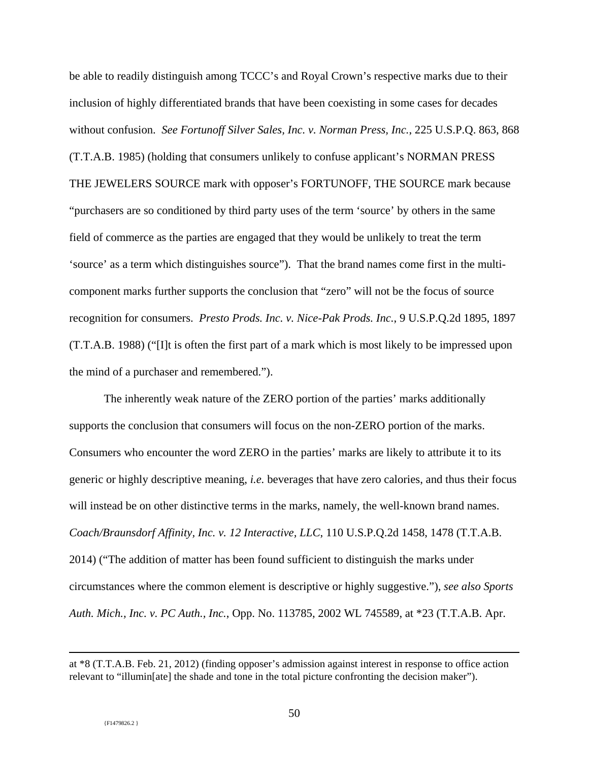be able to readily distinguish among TCCC's and Royal Crown's respective marks due to their inclusion of highly differentiated brands that have been coexisting in some cases for decades without confusion. *See Fortunoff Silver Sales, Inc. v. Norman Press, Inc.*, 225 U.S.P.Q. 863, 868 (T.T.A.B. 1985) (holding that consumers unlikely to confuse applicant's NORMAN PRESS THE JEWELERS SOURCE mark with opposer's FORTUNOFF, THE SOURCE mark because "purchasers are so conditioned by third party uses of the term 'source' by others in the same field of commerce as the parties are engaged that they would be unlikely to treat the term 'source' as a term which distinguishes source"). That the brand names come first in the multicomponent marks further supports the conclusion that "zero" will not be the focus of source recognition for consumers. *Presto Prods. Inc. v. Nice-Pak Prods. Inc.*, 9 U.S.P.Q.2d 1895, 1897 (T.T.A.B. 1988) ("[I]t is often the first part of a mark which is most likely to be impressed upon the mind of a purchaser and remembered.").

The inherently weak nature of the ZERO portion of the parties' marks additionally supports the conclusion that consumers will focus on the non-ZERO portion of the marks. Consumers who encounter the word ZERO in the parties' marks are likely to attribute it to its generic or highly descriptive meaning, *i.e.* beverages that have zero calories, and thus their focus will instead be on other distinctive terms in the marks, namely, the well-known brand names. *Coach/Braunsdorf Affinity, Inc. v. 12 Interactive, LLC*, 110 U.S.P.Q.2d 1458, 1478 (T.T.A.B. 2014) ("The addition of matter has been found sufficient to distinguish the marks under circumstances where the common element is descriptive or highly suggestive."), *see also Sports Auth. Mich., Inc. v. PC Auth., Inc.*, Opp. No. 113785, 2002 WL 745589, at \*23 (T.T.A.B. Apr.

at \*8 (T.T.A.B. Feb. 21, 2012) (finding opposer's admission against interest in response to office action relevant to "illumin[ate] the shade and tone in the total picture confronting the decision maker").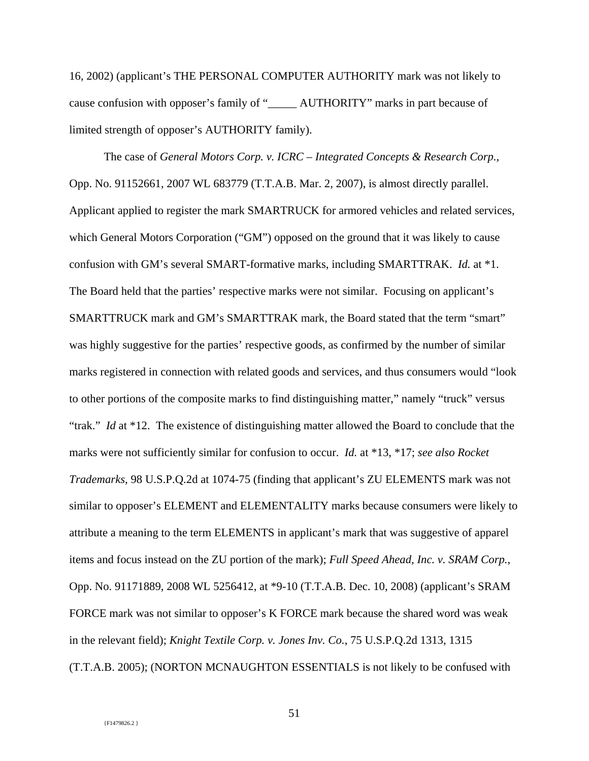16, 2002) (applicant's THE PERSONAL COMPUTER AUTHORITY mark was not likely to cause confusion with opposer's family of "\_\_\_\_\_ AUTHORITY" marks in part because of limited strength of opposer's AUTHORITY family).

The case of *General Motors Corp. v. ICRC – Integrated Concepts & Research Corp.,*  Opp. No. 91152661, 2007 WL 683779 (T.T.A.B. Mar. 2, 2007), is almost directly parallel. Applicant applied to register the mark SMARTRUCK for armored vehicles and related services, which General Motors Corporation ("GM") opposed on the ground that it was likely to cause confusion with GM's several SMART-formative marks, including SMARTTRAK. *Id.* at \*1. The Board held that the parties' respective marks were not similar. Focusing on applicant's SMARTTRUCK mark and GM's SMARTTRAK mark, the Board stated that the term "smart" was highly suggestive for the parties' respective goods, as confirmed by the number of similar marks registered in connection with related goods and services, and thus consumers would "look to other portions of the composite marks to find distinguishing matter," namely "truck" versus "trak." *Id* at \*12. The existence of distinguishing matter allowed the Board to conclude that the marks were not sufficiently similar for confusion to occur. *Id.* at \*13, \*17; *see also Rocket Trademarks*, 98 U.S.P.Q.2d at 1074-75 (finding that applicant's ZU ELEMENTS mark was not similar to opposer's ELEMENT and ELEMENTALITY marks because consumers were likely to attribute a meaning to the term ELEMENTS in applicant's mark that was suggestive of apparel items and focus instead on the ZU portion of the mark); *Full Speed Ahead, Inc. v. SRAM Corp.*, Opp. No. 91171889, 2008 WL 5256412, at \*9-10 (T.T.A.B. Dec. 10, 2008) (applicant's SRAM FORCE mark was not similar to opposer's K FORCE mark because the shared word was weak in the relevant field); *Knight Textile Corp. v. Jones Inv. Co.*, 75 U.S.P.Q.2d 1313, 1315 (T.T.A.B. 2005); (NORTON MCNAUGHTON ESSENTIALS is not likely to be confused with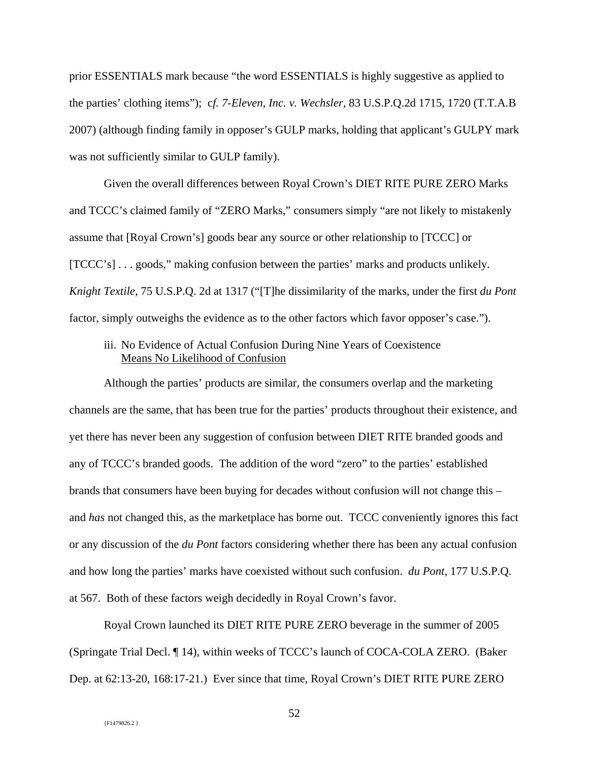prior ESSENTIALS mark because "the word ESSENTIALS is highly suggestive as applied to the parties' clothing items"); c*f. 7-Eleven, Inc. v. Wechsler*, 83 U.S.P.Q.2d 1715, 1720 (T.T.A.B 2007) (although finding family in opposer's GULP marks, holding that applicant's GULPY mark was not sufficiently similar to GULP family).

Given the overall differences between Royal Crown's DIET RITE PURE ZERO Marks and TCCC's claimed family of "ZERO Marks," consumers simply "are not likely to mistakenly assume that [Royal Crown's] goods bear any source or other relationship to [TCCC] or [TCCC's] . . . goods," making confusion between the parties' marks and products unlikely. *Knight Textile*, 75 U.S.P.Q. 2d at 1317 ("[T]he dissimilarity of the marks, under the first *du Pont* factor, simply outweighs the evidence as to the other factors which favor opposer's case.").

## iii. No Evidence of Actual Confusion During Nine Years of Coexistence Means No Likelihood of Confusion

Although the parties' products are similar, the consumers overlap and the marketing channels are the same, that has been true for the parties' products throughout their existence, and yet there has never been any suggestion of confusion between DIET RITE branded goods and any of TCCC's branded goods. The addition of the word "zero" to the parties' established brands that consumers have been buying for decades without confusion will not change this – and *has* not changed this, as the marketplace has borne out. TCCC conveniently ignores this fact or any discussion of the *du Pont* factors considering whether there has been any actual confusion and how long the parties' marks have coexisted without such confusion. *du Pont*, 177 U.S.P.Q. at 567. Both of these factors weigh decidedly in Royal Crown's favor.

Royal Crown launched its DIET RITE PURE ZERO beverage in the summer of 2005 (Springate Trial Decl. ¶ 14), within weeks of TCCC's launch of COCA-COLA ZERO. (Baker Dep. at 62:13-20, 168:17-21.) Ever since that time, Royal Crown's DIET RITE PURE ZERO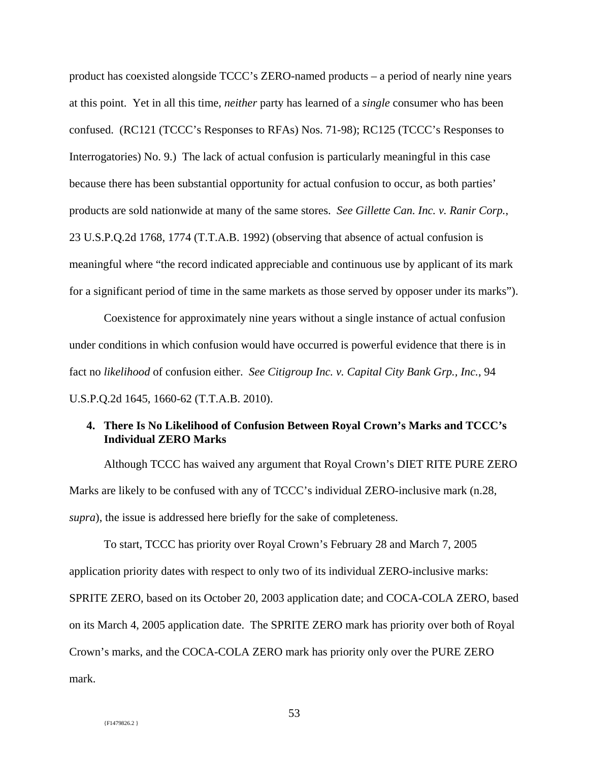product has coexisted alongside TCCC's ZERO-named products – a period of nearly nine years at this point. Yet in all this time, *neither* party has learned of a *single* consumer who has been confused. (RC121 (TCCC's Responses to RFAs) Nos. 71-98); RC125 (TCCC's Responses to Interrogatories) No. 9.) The lack of actual confusion is particularly meaningful in this case because there has been substantial opportunity for actual confusion to occur, as both parties' products are sold nationwide at many of the same stores. *See Gillette Can. Inc. v. Ranir Corp.*, 23 U.S.P.Q.2d 1768, 1774 (T.T.A.B. 1992) (observing that absence of actual confusion is meaningful where "the record indicated appreciable and continuous use by applicant of its mark for a significant period of time in the same markets as those served by opposer under its marks").

Coexistence for approximately nine years without a single instance of actual confusion under conditions in which confusion would have occurred is powerful evidence that there is in fact no *likelihood* of confusion either. *See Citigroup Inc. v. Capital City Bank Grp., Inc.*, 94 U.S.P.Q.2d 1645, 1660-62 (T.T.A.B. 2010).

## **4. There Is No Likelihood of Confusion Between Royal Crown's Marks and TCCC's Individual ZERO Marks**

 Although TCCC has waived any argument that Royal Crown's DIET RITE PURE ZERO Marks are likely to be confused with any of TCCC's individual ZERO-inclusive mark (n.28, *supra*), the issue is addressed here briefly for the sake of completeness.

To start, TCCC has priority over Royal Crown's February 28 and March 7, 2005 application priority dates with respect to only two of its individual ZERO-inclusive marks: SPRITE ZERO, based on its October 20, 2003 application date; and COCA-COLA ZERO, based on its March 4, 2005 application date. The SPRITE ZERO mark has priority over both of Royal Crown's marks, and the COCA-COLA ZERO mark has priority only over the PURE ZERO mark.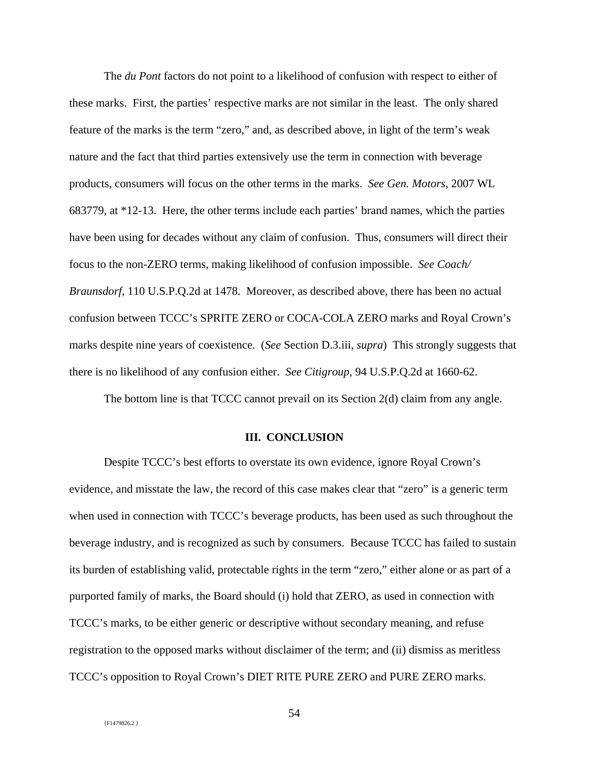The *du Pont* factors do not point to a likelihood of confusion with respect to either of these marks. First, the parties' respective marks are not similar in the least. The only shared feature of the marks is the term "zero," and, as described above, in light of the term's weak nature and the fact that third parties extensively use the term in connection with beverage products, consumers will focus on the other terms in the marks. *See Gen. Motors*, 2007 WL 683779, at \*12-13. Here, the other terms include each parties' brand names, which the parties have been using for decades without any claim of confusion. Thus, consumers will direct their focus to the non-ZERO terms, making likelihood of confusion impossible. *See Coach/ Braunsdorf*, 110 U.S.P.Q.2d at 1478. Moreover, as described above, there has been no actual confusion between TCCC's SPRITE ZERO or COCA-COLA ZERO marks and Royal Crown's marks despite nine years of coexistence. (*See* Section D.3.iii, *supra*) This strongly suggests that there is no likelihood of any confusion either. *See Citigroup*, 94 U.S.P.Q.2d at 1660-62.

The bottom line is that TCCC cannot prevail on its Section 2(d) claim from any angle.

### **III. CONCLUSION**

Despite TCCC's best efforts to overstate its own evidence, ignore Royal Crown's evidence, and misstate the law, the record of this case makes clear that "zero" is a generic term when used in connection with TCCC's beverage products, has been used as such throughout the beverage industry, and is recognized as such by consumers. Because TCCC has failed to sustain its burden of establishing valid, protectable rights in the term "zero," either alone or as part of a purported family of marks, the Board should (i) hold that ZERO, as used in connection with TCCC's marks, to be either generic or descriptive without secondary meaning, and refuse registration to the opposed marks without disclaimer of the term; and (ii) dismiss as meritless TCCC's opposition to Royal Crown's DIET RITE PURE ZERO and PURE ZERO marks.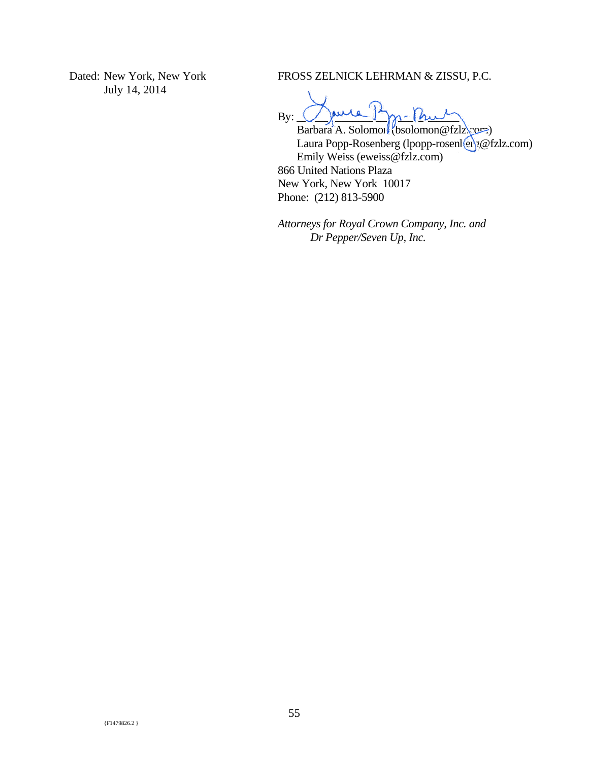Dated: New York, New York July 14, 2014

FROSS ZELNICK LEHRMAN & ZISSU, P.C.

 $By: \bigcup \downarrow \downarrow \uparrow \uparrow \uparrow \downarrow \downarrow \uparrow \uparrow \uparrow \uparrow$ 

Barbara A. Solomon (bsolomon @fzlz\com) Laura Popp-Rosenberg (lpopp-rosenlex);@fzlz.com) Emily Weiss (eweiss@fzlz.com) 866 United Nations Plaza New York, New York 10017 Phone: (212) 813-5900

*Attorneys for Royal Crown Company, Inc. and Dr Pepper/Seven Up, Inc.*